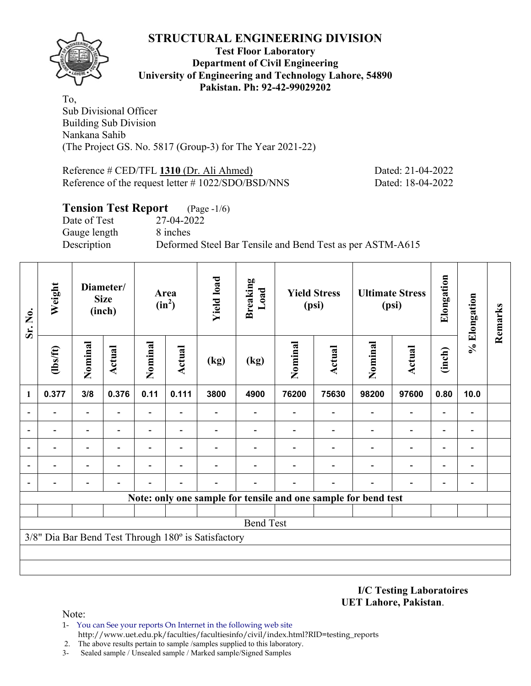

## **Test Floor Laboratory Department of Civil Engineering University of Engineering and Technology Lahore, 54890 Pakistan. Ph: 92-42-99029202**

To, Sub Divisional Officer Building Sub Division Nankana Sahib (The Project GS. No. 5817 (Group-3) for The Year 2021-22)

Reference # CED/TFL **1310** (Dr. Ali Ahmed) Dated: 21-04-2022 Reference of the request letter # 1022/SDO/BSD/NNS Dated: 18-04-2022

## **Tension Test Report** (Page -1/6) Date of Test 27-04-2022 Gauge length 8 inches Description Deformed Steel Bar Tensile and Bend Test as per ASTM-A615

| Sr. No.                  | Weight                   |                              | Diameter/<br><b>Size</b><br>(inch) |                          | Area<br>$(in^2)$         | <b>Yield load</b>                                   | <b>Breaking</b><br>Load |                                                                | <b>Yield Stress</b><br>(psi) |                | <b>Ultimate Stress</b><br>(psi) | Elongation               | % Elongation                 | Remarks |
|--------------------------|--------------------------|------------------------------|------------------------------------|--------------------------|--------------------------|-----------------------------------------------------|-------------------------|----------------------------------------------------------------|------------------------------|----------------|---------------------------------|--------------------------|------------------------------|---------|
|                          | $\frac{2}{10}$           | Nominal                      | Actual                             | Nominal                  | <b>Actual</b>            | (kg)                                                | (kg)                    | Nominal                                                        | <b>Actual</b>                | Nominal        | <b>Actual</b>                   | (inch)                   |                              |         |
| $\mathbf{1}$             | 0.377                    | 3/8                          | 0.376                              | 0.11                     | 0.111                    | 3800                                                | 4900                    | 76200                                                          | 75630                        | 98200          | 97600                           | 0.80                     | 10.0                         |         |
| $\blacksquare$           |                          | $\blacksquare$               |                                    | ٠                        |                          |                                                     |                         |                                                                |                              |                | $\blacksquare$                  | $\overline{a}$           |                              |         |
| $\overline{\phantom{0}}$ | $\overline{\phantom{0}}$ | $\qquad \qquad \blacksquare$ | $\blacksquare$                     | Ξ.                       | $\overline{\phantom{0}}$ |                                                     |                         |                                                                | $\overline{\phantom{0}}$     | $\blacksquare$ | $\overline{\phantom{0}}$        | $\overline{\phantom{0}}$ | $\overline{\phantom{0}}$     |         |
|                          |                          | $\overline{a}$               |                                    | $\overline{\phantom{0}}$ | $\overline{\phantom{0}}$ |                                                     |                         |                                                                |                              |                | $\overline{a}$                  | $\overline{\phantom{0}}$ |                              |         |
|                          |                          | $\overline{a}$               |                                    |                          |                          |                                                     |                         |                                                                |                              |                | $\overline{\phantom{0}}$        | $\overline{\phantom{0}}$ | $\qquad \qquad \blacksquare$ |         |
| $\overline{a}$           |                          |                              |                                    |                          |                          |                                                     |                         |                                                                |                              |                |                                 | -                        |                              |         |
|                          |                          |                              |                                    |                          |                          |                                                     |                         | Note: only one sample for tensile and one sample for bend test |                              |                |                                 |                          |                              |         |
|                          |                          |                              |                                    |                          |                          |                                                     |                         |                                                                |                              |                |                                 |                          |                              |         |
|                          |                          |                              |                                    |                          |                          |                                                     | <b>Bend Test</b>        |                                                                |                              |                |                                 |                          |                              |         |
|                          |                          |                              |                                    |                          |                          | 3/8" Dia Bar Bend Test Through 180° is Satisfactory |                         |                                                                |                              |                |                                 |                          |                              |         |
|                          |                          |                              |                                    |                          |                          |                                                     |                         |                                                                |                              |                |                                 |                          |                              |         |
|                          |                          |                              |                                    |                          |                          |                                                     |                         |                                                                |                              |                |                                 |                          |                              |         |

**I/C Testing Laboratoires UET Lahore, Pakistan**.

- 1- You can See your reports On Internet in the following web site http://www.uet.edu.pk/faculties/facultiesinfo/civil/index.html?RID=testing\_reports
- 2. The above results pertain to sample /samples supplied to this laboratory.
- 3- Sealed sample / Unsealed sample / Marked sample/Signed Samples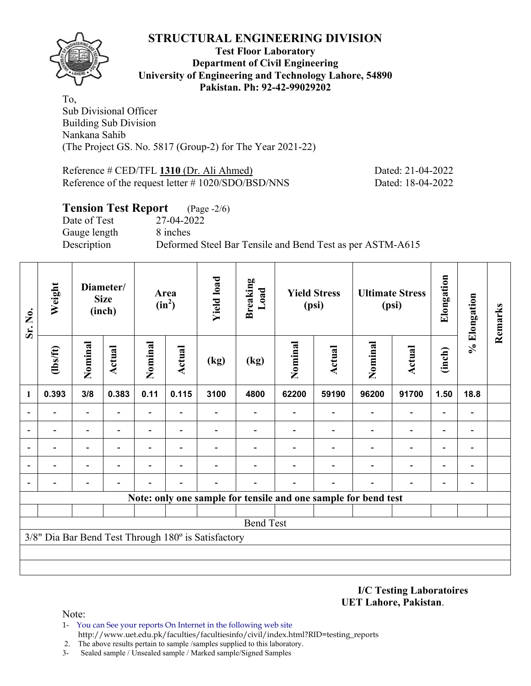

### **Test Floor Laboratory Department of Civil Engineering University of Engineering and Technology Lahore, 54890 Pakistan. Ph: 92-42-99029202**

To, Sub Divisional Officer Building Sub Division Nankana Sahib (The Project GS. No. 5817 (Group-2) for The Year 2021-22)

Reference # CED/TFL **1310** (Dr. Ali Ahmed) Dated: 21-04-2022 Reference of the request letter # 1020/SDO/BSD/NNS Dated: 18-04-2022

# **Tension Test Report** (Page -2/6) Date of Test 27-04-2022 Gauge length 8 inches Description Deformed Steel Bar Tensile and Bend Test as per ASTM-A615

| Sr. No.        | Weight         |                              | Diameter/<br><b>Size</b><br>(inch) |                          | Area<br>$(in^2)$ | <b>Yield load</b>                                   | <b>Breaking</b><br>Load |         | <b>Yield Stress</b><br>(psi)                                   |         | <b>Ultimate Stress</b><br>(psi) | Elongation               | % Elongation   | Remarks |
|----------------|----------------|------------------------------|------------------------------------|--------------------------|------------------|-----------------------------------------------------|-------------------------|---------|----------------------------------------------------------------|---------|---------------------------------|--------------------------|----------------|---------|
|                | $\frac{2}{10}$ | Nominal                      | Actual                             | Nominal                  | <b>Actual</b>    | (kg)                                                | (kg)                    | Nominal | <b>Actual</b>                                                  | Nominal | <b>Actual</b>                   | (inch)                   |                |         |
| 1              | 0.393          | 3/8                          | 0.383                              | 0.11                     | 0.115            | 3100                                                | 4800                    | 62200   | 59190                                                          | 96200   | 91700                           | 1.50                     | 18.8           |         |
|                |                | $\overline{\phantom{0}}$     |                                    |                          |                  |                                                     |                         |         |                                                                |         |                                 |                          |                |         |
| $\blacksquare$ | $\blacksquare$ | $\qquad \qquad \blacksquare$ |                                    | $\overline{\phantom{0}}$ |                  |                                                     |                         |         | $\blacksquare$                                                 |         | $\blacksquare$                  | $\overline{\phantom{0}}$ | $\blacksquare$ |         |
|                |                | $\qquad \qquad \blacksquare$ | ۰                                  | $\overline{a}$           | $\blacksquare$   |                                                     |                         |         |                                                                |         | $\blacksquare$                  | $\blacksquare$           |                |         |
|                |                | $\blacksquare$               |                                    |                          |                  |                                                     |                         |         |                                                                |         |                                 | $\blacksquare$           |                |         |
|                |                |                              |                                    |                          |                  |                                                     |                         |         |                                                                |         |                                 |                          |                |         |
|                |                |                              |                                    |                          |                  |                                                     |                         |         | Note: only one sample for tensile and one sample for bend test |         |                                 |                          |                |         |
|                |                |                              |                                    |                          |                  |                                                     |                         |         |                                                                |         |                                 |                          |                |         |
|                |                |                              |                                    |                          |                  |                                                     | <b>Bend Test</b>        |         |                                                                |         |                                 |                          |                |         |
|                |                |                              |                                    |                          |                  | 3/8" Dia Bar Bend Test Through 180° is Satisfactory |                         |         |                                                                |         |                                 |                          |                |         |
|                |                |                              |                                    |                          |                  |                                                     |                         |         |                                                                |         |                                 |                          |                |         |
|                |                |                              |                                    |                          |                  |                                                     |                         |         |                                                                |         |                                 |                          |                |         |

**I/C Testing Laboratoires UET Lahore, Pakistan**.

- 1- You can See your reports On Internet in the following web site http://www.uet.edu.pk/faculties/facultiesinfo/civil/index.html?RID=testing\_reports
- 2. The above results pertain to sample /samples supplied to this laboratory.
- 3- Sealed sample / Unsealed sample / Marked sample/Signed Samples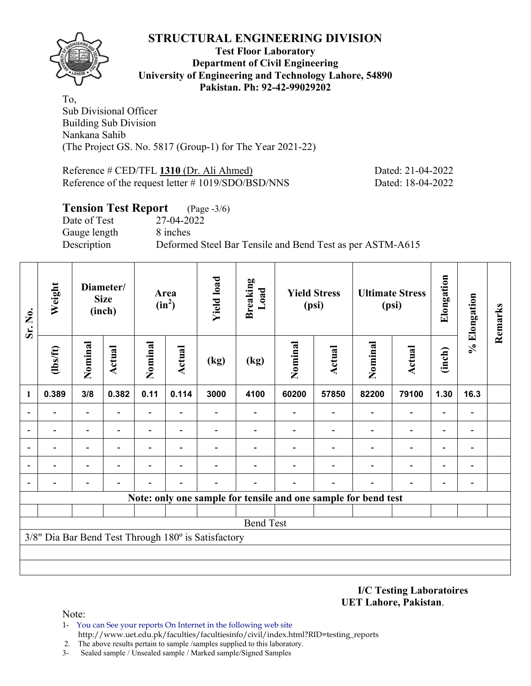

### **Test Floor Laboratory Department of Civil Engineering University of Engineering and Technology Lahore, 54890 Pakistan. Ph: 92-42-99029202**

To, Sub Divisional Officer Building Sub Division Nankana Sahib (The Project GS. No. 5817 (Group-1) for The Year 2021-22)

Reference # CED/TFL **1310** (Dr. Ali Ahmed) Dated: 21-04-2022 Reference of the request letter # 1019/SDO/BSD/NNS Dated: 18-04-2022

# **Tension Test Report** (Page -3/6) Date of Test 27-04-2022 Gauge length 8 inches Description Deformed Steel Bar Tensile and Bend Test as per ASTM-A615

| Sr. No.                  | Weight           |                              | Diameter/<br><b>Size</b><br>(inch) |                          | Area<br>$(in^2)$         | <b>Yield load</b>                                   | <b>Breaking</b><br>Load |         | <b>Yield Stress</b><br>(psi) |                                                                | <b>Ultimate Stress</b><br>(psi) | Elongation        | % Elongation | Remarks |
|--------------------------|------------------|------------------------------|------------------------------------|--------------------------|--------------------------|-----------------------------------------------------|-------------------------|---------|------------------------------|----------------------------------------------------------------|---------------------------------|-------------------|--------------|---------|
|                          | $\frac{2}{10}$   | Nominal                      | <b>Actual</b>                      | Nominal                  | <b>Actual</b>            | (kg)                                                | (kg)                    | Nominal | <b>Actual</b>                | Nominal                                                        | <b>Actual</b>                   | (inch)            |              |         |
| 1                        | 0.389            | 3/8                          | 0.382                              | 0.11                     | 0.114                    | 3000                                                | 4100                    | 60200   | 57850                        | 82200                                                          | 79100                           | 1.30              | 16.3         |         |
|                          |                  | $\overline{\phantom{0}}$     |                                    |                          |                          |                                                     |                         |         |                              |                                                                | $\overline{\phantom{0}}$        | $\overline{a}$    |              |         |
| $\overline{\phantom{0}}$ |                  | $\qquad \qquad \blacksquare$ |                                    | $\overline{\phantom{0}}$ | $\overline{\phantom{0}}$ |                                                     |                         |         |                              | $\blacksquare$                                                 | $\overline{a}$                  | $\qquad \qquad -$ |              |         |
|                          |                  | -                            | ٠                                  | $\overline{a}$           | $\overline{\phantom{0}}$ |                                                     |                         |         |                              |                                                                | $\overline{a}$                  | -                 |              |         |
|                          |                  | $\overline{a}$               |                                    |                          |                          |                                                     |                         |         |                              |                                                                | $\overline{\phantom{0}}$        | $\overline{a}$    |              |         |
|                          |                  |                              |                                    |                          |                          |                                                     |                         |         |                              |                                                                |                                 |                   |              |         |
|                          |                  |                              |                                    |                          |                          |                                                     |                         |         |                              | Note: only one sample for tensile and one sample for bend test |                                 |                   |              |         |
|                          |                  |                              |                                    |                          |                          |                                                     |                         |         |                              |                                                                |                                 |                   |              |         |
|                          | <b>Bend Test</b> |                              |                                    |                          |                          |                                                     |                         |         |                              |                                                                |                                 |                   |              |         |
|                          |                  |                              |                                    |                          |                          | 3/8" Dia Bar Bend Test Through 180° is Satisfactory |                         |         |                              |                                                                |                                 |                   |              |         |
|                          |                  |                              |                                    |                          |                          |                                                     |                         |         |                              |                                                                |                                 |                   |              |         |
|                          |                  |                              |                                    |                          |                          |                                                     |                         |         |                              |                                                                |                                 |                   |              |         |

**I/C Testing Laboratoires UET Lahore, Pakistan**.

- 1- You can See your reports On Internet in the following web site http://www.uet.edu.pk/faculties/facultiesinfo/civil/index.html?RID=testing\_reports
- 2. The above results pertain to sample /samples supplied to this laboratory.
- 3- Sealed sample / Unsealed sample / Marked sample/Signed Samples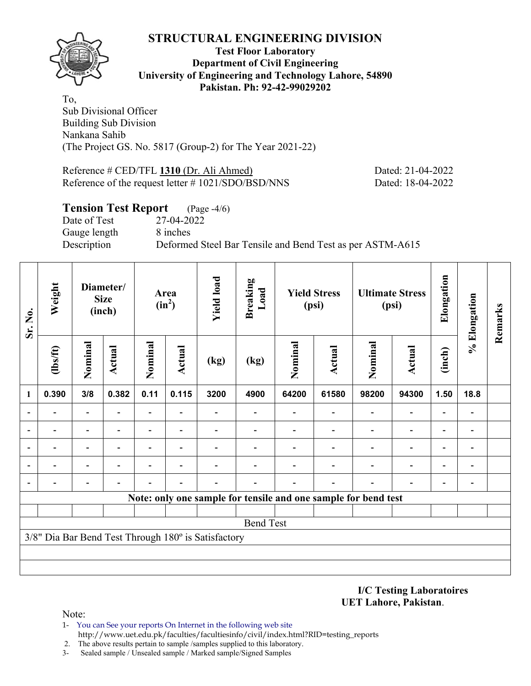

### **Test Floor Laboratory Department of Civil Engineering University of Engineering and Technology Lahore, 54890 Pakistan. Ph: 92-42-99029202**

To, Sub Divisional Officer Building Sub Division Nankana Sahib (The Project GS. No. 5817 (Group-2) for The Year 2021-22)

Reference # CED/TFL **1310** (Dr. Ali Ahmed) Dated: 21-04-2022 Reference of the request letter # 1021/SDO/BSD/NNS Dated: 18-04-2022

# **Tension Test Report** (Page -4/6) Date of Test 27-04-2022 Gauge length 8 inches Description Deformed Steel Bar Tensile and Bend Test as per ASTM-A615

| Sr. No.                  | Weight           |                              | Diameter/<br><b>Size</b><br>(inch) |                          | Area<br>$(in^2)$         | <b>Yield load</b>                                   | <b>Breaking</b><br>Load |         | <b>Yield Stress</b><br>(psi)                                   |                          | <b>Ultimate Stress</b><br>(psi) | Elongation               | % Elongation             | Remarks |
|--------------------------|------------------|------------------------------|------------------------------------|--------------------------|--------------------------|-----------------------------------------------------|-------------------------|---------|----------------------------------------------------------------|--------------------------|---------------------------------|--------------------------|--------------------------|---------|
|                          | $\frac{2}{10}$   | Nominal                      | Actual                             | Nominal                  | <b>Actual</b>            | (kg)                                                | (kg)                    | Nominal | Actual                                                         | Nominal                  | <b>Actual</b>                   | (inch)                   |                          |         |
| $\mathbf{1}$             | 0.390            | 3/8                          | 0.382                              | 0.11                     | 0.115                    | 3200                                                | 4900                    | 64200   | 61580                                                          | 98200                    | 94300                           | 1.50                     | 18.8                     |         |
| $\blacksquare$           |                  | $\blacksquare$               |                                    | $\blacksquare$           |                          |                                                     |                         |         |                                                                |                          |                                 |                          |                          |         |
| $\overline{\phantom{0}}$ |                  | $\qquad \qquad \blacksquare$ | $\overline{\phantom{0}}$           | $\overline{\phantom{0}}$ | $\overline{\phantom{0}}$ |                                                     |                         |         | $\overline{\phantom{0}}$                                       | $\overline{\phantom{0}}$ | $\overline{\phantom{0}}$        | $\overline{\phantom{0}}$ | $\blacksquare$           |         |
|                          |                  | $\overline{a}$               |                                    | $\overline{a}$           | $\overline{\phantom{0}}$ |                                                     |                         |         |                                                                |                          | $\overline{\phantom{0}}$        | $\overline{\phantom{0}}$ |                          |         |
|                          |                  | $\blacksquare$               |                                    |                          |                          |                                                     |                         |         |                                                                |                          |                                 | ٠                        |                          |         |
| $\overline{a}$           |                  | -                            |                                    |                          |                          |                                                     |                         |         |                                                                |                          |                                 |                          | $\overline{\phantom{0}}$ |         |
|                          |                  |                              |                                    |                          |                          |                                                     |                         |         | Note: only one sample for tensile and one sample for bend test |                          |                                 |                          |                          |         |
|                          |                  |                              |                                    |                          |                          |                                                     |                         |         |                                                                |                          |                                 |                          |                          |         |
|                          | <b>Bend Test</b> |                              |                                    |                          |                          |                                                     |                         |         |                                                                |                          |                                 |                          |                          |         |
|                          |                  |                              |                                    |                          |                          | 3/8" Dia Bar Bend Test Through 180° is Satisfactory |                         |         |                                                                |                          |                                 |                          |                          |         |
|                          |                  |                              |                                    |                          |                          |                                                     |                         |         |                                                                |                          |                                 |                          |                          |         |
|                          |                  |                              |                                    |                          |                          |                                                     |                         |         |                                                                |                          |                                 |                          |                          |         |

**I/C Testing Laboratoires UET Lahore, Pakistan**.

- 1- You can See your reports On Internet in the following web site http://www.uet.edu.pk/faculties/facultiesinfo/civil/index.html?RID=testing\_reports
- 2. The above results pertain to sample /samples supplied to this laboratory.
- 3- Sealed sample / Unsealed sample / Marked sample/Signed Samples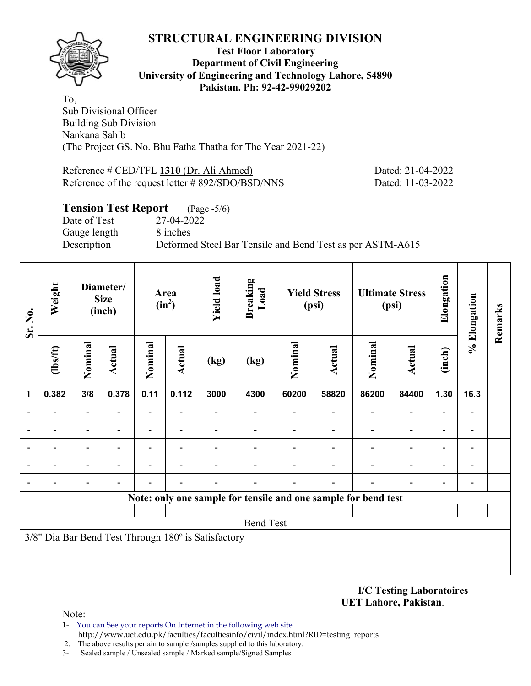

## **Test Floor Laboratory Department of Civil Engineering University of Engineering and Technology Lahore, 54890 Pakistan. Ph: 92-42-99029202**

To, Sub Divisional Officer Building Sub Division Nankana Sahib (The Project GS. No. Bhu Fatha Thatha for The Year 2021-22)

Reference # CED/TFL **1310** (Dr. Ali Ahmed) Dated: 21-04-2022 Reference of the request letter # 892/SDO/BSD/NNS Dated: 11-03-2022

# **Tension Test Report** (Page -5/6) Date of Test 27-04-2022 Gauge length 8 inches Description Deformed Steel Bar Tensile and Bend Test as per ASTM-A615

| Sr. No.        | Weight           |                              | Diameter/<br><b>Size</b><br>(inch) |                          | Area<br>$(in^2)$         | <b>Yield load</b>                                   | <b>Breaking</b><br>Load |         | <b>Yield Stress</b><br>(psi)                                   |                          | <b>Ultimate Stress</b><br>(psi) | Elongation               | % Elongation   | Remarks |
|----------------|------------------|------------------------------|------------------------------------|--------------------------|--------------------------|-----------------------------------------------------|-------------------------|---------|----------------------------------------------------------------|--------------------------|---------------------------------|--------------------------|----------------|---------|
|                | $\frac{2}{10}$   | Nominal                      | <b>Actual</b>                      | Nominal                  | <b>Actual</b>            | (kg)                                                | (kg)                    | Nominal | <b>Actual</b>                                                  | Nominal                  | <b>Actual</b>                   | (inch)                   |                |         |
| 1              | 0.382            | 3/8                          | 0.378                              | 0.11                     | 0.112                    | 3000                                                | 4300                    | 60200   | 58820                                                          | 86200                    | 84400                           | 1.30                     | 16.3           |         |
| $\overline{a}$ |                  | $\overline{a}$               |                                    | $\overline{\phantom{0}}$ |                          |                                                     |                         |         | $\overline{\phantom{0}}$                                       | $\overline{\phantom{0}}$ |                                 |                          |                |         |
|                |                  | $\qquad \qquad \blacksquare$ |                                    | $\overline{\phantom{0}}$ |                          |                                                     |                         |         |                                                                |                          | $\overline{\phantom{0}}$        | $\overline{\phantom{0}}$ |                |         |
| $\overline{a}$ |                  | $\qquad \qquad \blacksquare$ | $\overline{a}$                     | $\overline{\phantom{0}}$ | $\overline{\phantom{0}}$ | $\overline{\phantom{0}}$                            |                         |         | $\overline{\phantom{0}}$                                       | $\overline{\phantom{0}}$ | $\overline{\phantom{0}}$        | $\overline{\phantom{0}}$ | $\blacksquare$ |         |
|                |                  | $\blacksquare$               |                                    |                          |                          |                                                     |                         |         |                                                                |                          |                                 | ۰                        |                |         |
| $\overline{a}$ |                  |                              |                                    |                          |                          |                                                     |                         |         |                                                                |                          |                                 |                          |                |         |
|                |                  |                              |                                    |                          |                          |                                                     |                         |         | Note: only one sample for tensile and one sample for bend test |                          |                                 |                          |                |         |
|                |                  |                              |                                    |                          |                          |                                                     |                         |         |                                                                |                          |                                 |                          |                |         |
|                | <b>Bend Test</b> |                              |                                    |                          |                          |                                                     |                         |         |                                                                |                          |                                 |                          |                |         |
|                |                  |                              |                                    |                          |                          | 3/8" Dia Bar Bend Test Through 180° is Satisfactory |                         |         |                                                                |                          |                                 |                          |                |         |
|                |                  |                              |                                    |                          |                          |                                                     |                         |         |                                                                |                          |                                 |                          |                |         |
|                |                  |                              |                                    |                          |                          |                                                     |                         |         |                                                                |                          |                                 |                          |                |         |

### **I/C Testing Laboratoires UET Lahore, Pakistan**.

- 1- You can See your reports On Internet in the following web site http://www.uet.edu.pk/faculties/facultiesinfo/civil/index.html?RID=testing\_reports
- 2. The above results pertain to sample /samples supplied to this laboratory.
- 3- Sealed sample / Unsealed sample / Marked sample/Signed Samples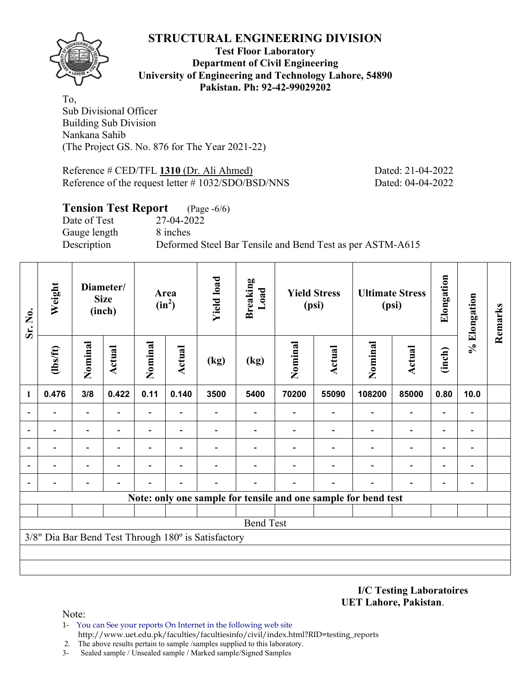

**Test Floor Laboratory Department of Civil Engineering University of Engineering and Technology Lahore, 54890 Pakistan. Ph: 92-42-99029202** 

To, Sub Divisional Officer Building Sub Division Nankana Sahib (The Project GS. No. 876 for The Year 2021-22)

Reference # CED/TFL **1310** (Dr. Ali Ahmed) Dated: 21-04-2022 Reference of the request letter # 1032/SDO/BSD/NNS Dated: 04-04-2022

## **Tension Test Report** (Page -6/6)

Date of Test 27-04-2022 Gauge length 8 inches

Description Deformed Steel Bar Tensile and Bend Test as per ASTM-A615

| Sr. No.        | Weight           |                              | Diameter/<br><b>Size</b><br>(inch) |                | Area<br>$(in^2)$         | <b>Yield load</b>                                   | <b>Breaking</b><br>Load  |         | <b>Yield Stress</b><br>(psi) |                                                                | <b>Ultimate Stress</b><br>(psi) | Elongation               | % Elongation                 | Remarks |
|----------------|------------------|------------------------------|------------------------------------|----------------|--------------------------|-----------------------------------------------------|--------------------------|---------|------------------------------|----------------------------------------------------------------|---------------------------------|--------------------------|------------------------------|---------|
|                | $\frac{2}{10}$   | Nominal                      | <b>Actual</b>                      | Nominal        | Actual                   | (kg)                                                | (kg)                     | Nominal | <b>Actual</b>                | Nominal                                                        | <b>Actual</b>                   | (inch)                   |                              |         |
| $\mathbf{1}$   | 0.476            | 3/8                          | 0.422                              | 0.11           | 0.140                    | 3500                                                | 5400                     | 70200   | 55090                        | 108200                                                         | 85000                           | 0.80                     | 10.0                         |         |
| $\blacksquare$ |                  | $\qquad \qquad \blacksquare$ |                                    | Ξ.             | $\overline{\phantom{0}}$ |                                                     | $\overline{\phantom{0}}$ |         |                              | Ξ.                                                             | $\overline{\phantom{a}}$        |                          | $\overline{\phantom{a}}$     |         |
|                |                  | -                            |                                    | -              |                          |                                                     |                          |         |                              |                                                                |                                 |                          | $\qquad \qquad \blacksquare$ |         |
| $\overline{a}$ |                  | -                            |                                    |                |                          |                                                     |                          |         |                              |                                                                |                                 |                          | $\blacksquare$               |         |
| $\overline{a}$ | -                | $\qquad \qquad \blacksquare$ |                                    | $\blacksquare$ | $\blacksquare$           |                                                     |                          |         |                              |                                                                | $\blacksquare$                  | $\overline{\phantom{0}}$ | $\overline{\phantom{a}}$     |         |
| $\overline{a}$ |                  | -                            |                                    |                | ٠                        |                                                     |                          |         |                              |                                                                |                                 | ٠                        | $\blacksquare$               |         |
|                |                  |                              |                                    |                |                          |                                                     |                          |         |                              | Note: only one sample for tensile and one sample for bend test |                                 |                          |                              |         |
|                |                  |                              |                                    |                |                          |                                                     |                          |         |                              |                                                                |                                 |                          |                              |         |
|                | <b>Bend Test</b> |                              |                                    |                |                          |                                                     |                          |         |                              |                                                                |                                 |                          |                              |         |
|                |                  |                              |                                    |                |                          | 3/8" Dia Bar Bend Test Through 180° is Satisfactory |                          |         |                              |                                                                |                                 |                          |                              |         |
|                |                  |                              |                                    |                |                          |                                                     |                          |         |                              |                                                                |                                 |                          |                              |         |
|                |                  |                              |                                    |                |                          |                                                     |                          |         |                              |                                                                |                                 |                          |                              |         |

**I/C Testing Laboratoires UET Lahore, Pakistan**.

- 1- You can See your reports On Internet in the following web site http://www.uet.edu.pk/faculties/facultiesinfo/civil/index.html?RID=testing\_reports
- 2. The above results pertain to sample /samples supplied to this laboratory.
- 3- Sealed sample / Unsealed sample / Marked sample/Signed Samples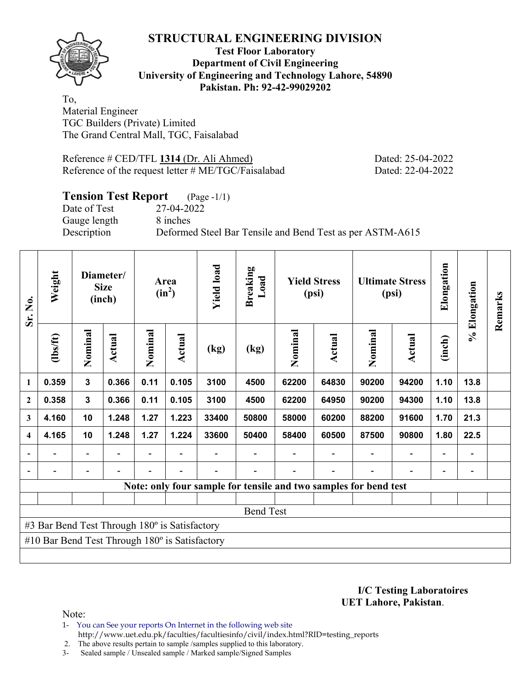

## **Test Floor Laboratory Department of Civil Engineering University of Engineering and Technology Lahore, 54890 Pakistan. Ph: 92-42-99029202**

To, Material Engineer TGC Builders (Private) Limited The Grand Central Mall, TGC, Faisalabad

Reference # CED/TFL **1314** (Dr. Ali Ahmed) Dated: 25-04-2022 Reference of the request letter # ME/TGC/Faisalabad Dated: 22-04-2022

# **Tension Test Report** (Page -1/1)

Date of Test 27-04-2022 Gauge length 8 inches

Description Deformed Steel Bar Tensile and Bend Test as per ASTM-A615

| Sr. No.                 | Weight                                                |              | Diameter/<br><b>Size</b><br>(inch) |         | Area<br>$(in^2)$ | <b>Yield load</b> | <b>Breaking</b><br>Load                                          |         | <b>Yield Stress</b><br>(psi) |         | <b>Ultimate Stress</b><br>(psi) | Elongation               | % Elongation | Remarks |
|-------------------------|-------------------------------------------------------|--------------|------------------------------------|---------|------------------|-------------------|------------------------------------------------------------------|---------|------------------------------|---------|---------------------------------|--------------------------|--------------|---------|
|                         | (1bs/ft)                                              | Nominal      | Actual                             | Nominal | Actual           | (kg)              | (kg)                                                             | Nominal | Actual                       | Nominal | Actual                          | (inch)                   |              |         |
| $\mathbf{1}$            | 0.359                                                 | $\mathbf{3}$ | 0.366                              | 0.11    | 0.105            | 3100              | 4500                                                             | 62200   | 64830                        | 90200   | 94200                           | 1.10                     | 13.8         |         |
| $\overline{2}$          | 0.358                                                 | 3            | 0.366                              | 0.11    | 0.105            | 3100              | 4500                                                             | 62200   | 64950                        | 90200   | 94300                           | 1.10                     | 13.8         |         |
| 3                       | 4.160                                                 | 10           | 1.248                              | 1.27    | 1.223            | 33400             | 50800                                                            | 58000   | 60200                        | 88200   | 91600                           | 1.70                     | 21.3         |         |
| $\overline{\mathbf{4}}$ | 4.165                                                 | 10           | 1.248                              | 1.27    | 1.224            | 33600             | 50400                                                            | 58400   | 60500                        | 87500   | 90800                           | 1.80                     | 22.5         |         |
|                         |                                                       | -            |                                    |         |                  |                   |                                                                  |         |                              |         | $\overline{\phantom{0}}$        | $\overline{\phantom{0}}$ |              |         |
|                         |                                                       |              |                                    |         |                  |                   |                                                                  |         |                              |         |                                 |                          |              |         |
|                         |                                                       |              |                                    |         |                  |                   | Note: only four sample for tensile and two samples for bend test |         |                              |         |                                 |                          |              |         |
|                         |                                                       |              |                                    |         |                  |                   |                                                                  |         |                              |         |                                 |                          |              |         |
|                         |                                                       |              |                                    |         |                  |                   | <b>Bend Test</b>                                                 |         |                              |         |                                 |                          |              |         |
|                         | #3 Bar Bend Test Through 180° is Satisfactory         |              |                                    |         |                  |                   |                                                                  |         |                              |         |                                 |                          |              |         |
|                         | #10 Bar Bend Test Through $180^\circ$ is Satisfactory |              |                                    |         |                  |                   |                                                                  |         |                              |         |                                 |                          |              |         |
|                         |                                                       |              |                                    |         |                  |                   |                                                                  |         |                              |         |                                 |                          |              |         |

**I/C Testing Laboratoires UET Lahore, Pakistan**.

Note:

1- You can See your reports On Internet in the following web site http://www.uet.edu.pk/faculties/facultiesinfo/civil/index.html?RID=testing\_reports

2. The above results pertain to sample /samples supplied to this laboratory.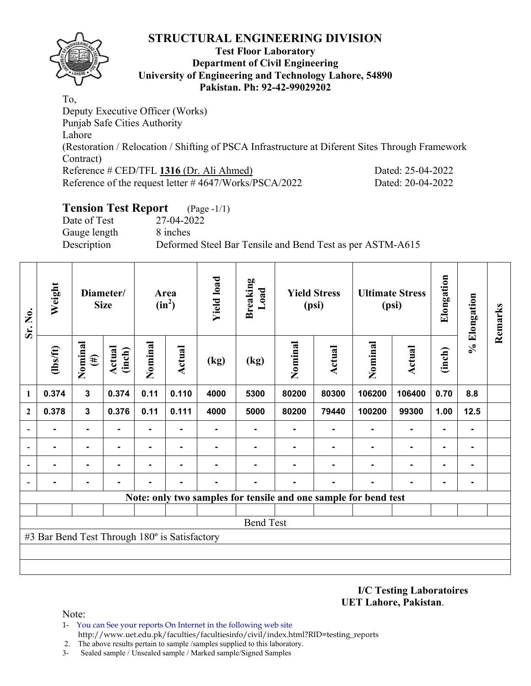

## **Test Floor Laboratory Department of Civil Engineering University of Engineering and Technology Lahore, 54890 Pakistan. Ph: 92-42-99029202**

To, Deputy Executive Officer (Works) Punjab Safe Cities Authority Lahore (Restoration / Relocation / Shifting of PSCA Infrastructure at Diferent Sites Through Framework Contract) Reference # CED/TFL **1316** (Dr. Ali Ahmed) Dated: 25-04-2022 Reference of the request letter # 4647/Works/PSCA/2022 Dated: 20-04-2022

# **Tension Test Report** (Page -1/1)

Date of Test 27-04-2022 Gauge length 8 inches

Description Deformed Steel Bar Tensile and Bend Test as per ASTM-A615

| Sr. No.                  | Weight                                        |                      | Diameter/<br><b>Size</b> |         | Area<br>$(in^2)$ | <b>Yield load</b> | <b>Breaking</b><br>Load |         | <b>Yield Stress</b><br>(psi) |                                                                 | <b>Ultimate Stress</b><br>(psi) | Elongation | % Elongation   | Remarks |
|--------------------------|-----------------------------------------------|----------------------|--------------------------|---------|------------------|-------------------|-------------------------|---------|------------------------------|-----------------------------------------------------------------|---------------------------------|------------|----------------|---------|
|                          | $\frac{2}{10}$                                | Nominal<br>$\tag{H}$ | Actual<br>(inch)         | Nominal | <b>Actual</b>    | (kg)              | (kg)                    | Nominal | Actual                       | Nominal                                                         | <b>Actual</b>                   | (inch)     |                |         |
| $\mathbf{1}$             | 0.374                                         | 3                    | 0.374                    | 0.11    | 0.110            | 4000              | 5300                    | 80200   | 80300                        | 106200                                                          | 106400                          | 0.70       | 8.8            |         |
| $\overline{2}$           | 0.378                                         | $\mathbf{3}$         | 0.376                    | 0.11    | 0.111            | 4000              | 5000                    | 80200   | 79440                        | 100200                                                          | 99300                           | 1.00       | 12.5           |         |
| $\overline{\phantom{0}}$ | $\blacksquare$                                | $\blacksquare$       |                          | Ξ.      |                  |                   |                         |         |                              |                                                                 | $\blacksquare$                  |            | ۰              |         |
| $\overline{\phantom{a}}$ |                                               |                      |                          |         |                  |                   |                         |         |                              |                                                                 |                                 |            |                |         |
| $\blacksquare$           |                                               | $\blacksquare$       |                          |         |                  |                   |                         |         |                              |                                                                 |                                 |            | $\blacksquare$ |         |
| $\overline{\phantom{a}}$ |                                               |                      |                          |         |                  |                   |                         |         |                              |                                                                 |                                 |            |                |         |
|                          |                                               |                      |                          |         |                  |                   |                         |         |                              | Note: only two samples for tensile and one sample for bend test |                                 |            |                |         |
|                          |                                               |                      |                          |         |                  |                   |                         |         |                              |                                                                 |                                 |            |                |         |
|                          |                                               |                      |                          |         |                  |                   | <b>Bend Test</b>        |         |                              |                                                                 |                                 |            |                |         |
|                          | #3 Bar Bend Test Through 180° is Satisfactory |                      |                          |         |                  |                   |                         |         |                              |                                                                 |                                 |            |                |         |
|                          |                                               |                      |                          |         |                  |                   |                         |         |                              |                                                                 |                                 |            |                |         |
|                          |                                               |                      |                          |         |                  |                   |                         |         |                              |                                                                 |                                 |            |                |         |

**I/C Testing Laboratoires UET Lahore, Pakistan**.

- 1- You can See your reports On Internet in the following web site http://www.uet.edu.pk/faculties/facultiesinfo/civil/index.html?RID=testing\_reports
- 2. The above results pertain to sample /samples supplied to this laboratory.
- 3- Sealed sample / Unsealed sample / Marked sample/Signed Samples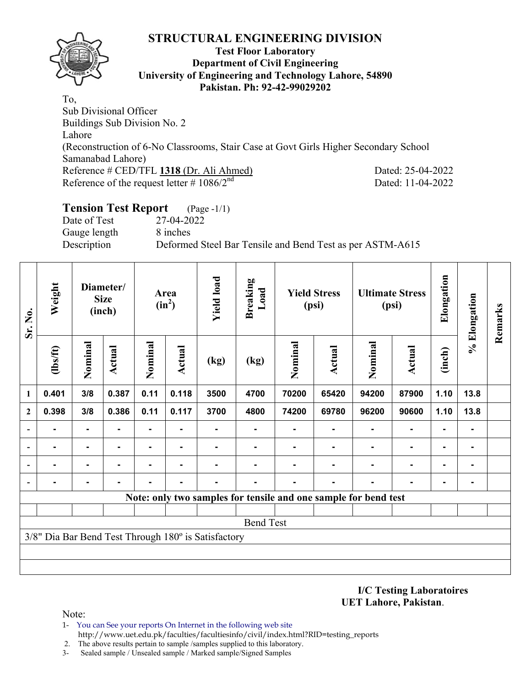

### **Test Floor Laboratory Department of Civil Engineering University of Engineering and Technology Lahore, 54890 Pakistan. Ph: 92-42-99029202**

To, Sub Divisional Officer Buildings Sub Division No. 2 Lahore (Reconstruction of 6-No Classrooms, Stair Case at Govt Girls Higher Secondary School Samanabad Lahore) Reference # CED/TFL **1318** (Dr. Ali Ahmed) Dated: 25-04-2022 Reference of the request letter  $\# 1086/2^{nd}$  Dated: 11-04-2022

# **Tension Test Report** (Page -1/1)

Date of Test 27-04-2022 Gauge length 8 inches

Description Deformed Steel Bar Tensile and Bend Test as per ASTM-A615

| Sr. No.                  | Weight   |                | Diameter/<br><b>Size</b><br>(inch) |                | Area<br>$(in^2)$ | <b>Yield load</b>                                   | <b>Breaking</b><br>Load                                         |         | <b>Yield Stress</b><br>(psi) |         | <b>Ultimate Stress</b><br>(psi) | Elongation     | % Elongation | Remarks |
|--------------------------|----------|----------------|------------------------------------|----------------|------------------|-----------------------------------------------------|-----------------------------------------------------------------|---------|------------------------------|---------|---------------------------------|----------------|--------------|---------|
|                          | (lbs/ft) | Nominal        | <b>Actual</b>                      | Nominal        | Actual           | (kg)                                                | (kg)                                                            | Nominal | <b>Actual</b>                | Nominal | <b>Actual</b>                   | (inch)         |              |         |
| 1                        | 0.401    | 3/8            | 0.387                              | 0.11           | 0.118            | 3500                                                | 4700                                                            | 70200   | 65420                        | 94200   | 87900                           | 1.10           | 13.8         |         |
| $\overline{2}$           | 0.398    | 3/8            | 0.386                              | 0.11           | 0.117            | 3700                                                | 4800                                                            | 74200   | 69780                        | 96200   | 90600                           | 1.10           | 13.8         |         |
|                          |          | $\blacksquare$ |                                    | $\blacksquare$ | $\blacksquare$   |                                                     |                                                                 |         |                              |         | $\blacksquare$                  | $\blacksquare$ |              |         |
|                          |          |                |                                    |                |                  |                                                     |                                                                 |         |                              |         | ٠                               | $\blacksquare$ |              |         |
| $\overline{\phantom{a}}$ |          | $\blacksquare$ |                                    |                | $\blacksquare$   |                                                     | ۰                                                               |         |                              |         | $\overline{\phantom{0}}$        | $\blacksquare$ |              |         |
| $\overline{\phantom{a}}$ |          |                |                                    |                | -                |                                                     |                                                                 | ۰       |                              | ۰       | $\blacksquare$                  | ۰              |              |         |
|                          |          |                |                                    |                |                  |                                                     | Note: only two samples for tensile and one sample for bend test |         |                              |         |                                 |                |              |         |
|                          |          |                |                                    |                |                  |                                                     |                                                                 |         |                              |         |                                 |                |              |         |
|                          |          |                |                                    |                |                  |                                                     | <b>Bend Test</b>                                                |         |                              |         |                                 |                |              |         |
|                          |          |                |                                    |                |                  | 3/8" Dia Bar Bend Test Through 180° is Satisfactory |                                                                 |         |                              |         |                                 |                |              |         |
|                          |          |                |                                    |                |                  |                                                     |                                                                 |         |                              |         |                                 |                |              |         |
|                          |          |                |                                    |                |                  |                                                     |                                                                 |         |                              |         |                                 |                |              |         |

**I/C Testing Laboratoires UET Lahore, Pakistan**.

- 1- You can See your reports On Internet in the following web site http://www.uet.edu.pk/faculties/facultiesinfo/civil/index.html?RID=testing\_reports
- 2. The above results pertain to sample /samples supplied to this laboratory.
- 3- Sealed sample / Unsealed sample / Marked sample/Signed Samples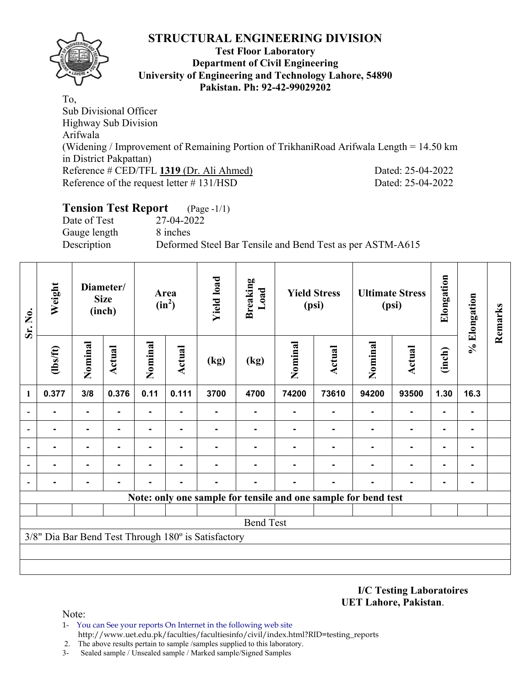

## **Test Floor Laboratory Department of Civil Engineering University of Engineering and Technology Lahore, 54890 Pakistan. Ph: 92-42-99029202**

To, Sub Divisional Officer Highway Sub Division Arifwala (Widening / Improvement of Remaining Portion of TrikhaniRoad Arifwala Length = 14.50 km in District Pakpattan) Reference # CED/TFL **1319** (Dr. Ali Ahmed) Dated: 25-04-2022 Reference of the request letter # 131/HSD Dated: 25-04-2022

## **Tension Test Report** (Page -1/1) Date of Test 27-04-2022 Gauge length 8 inches Description Deformed Steel Bar Tensile and Bend Test as per ASTM-A615

| Sr. No.                  | Weight           |                | Diameter/<br><b>Size</b><br>(inch) |                | Area<br>$(in^2)$ | <b>Yield load</b>                                   | <b>Breaking</b><br>Load |         | <b>Yield Stress</b><br>(psi)                                   |         | <b>Ultimate Stress</b><br>(psi) | Elongation     | % Elongation   | Remarks |
|--------------------------|------------------|----------------|------------------------------------|----------------|------------------|-----------------------------------------------------|-------------------------|---------|----------------------------------------------------------------|---------|---------------------------------|----------------|----------------|---------|
|                          | $\frac{2}{10}$   | Nominal        | <b>Actual</b>                      | Nominal        | <b>Actual</b>    | (kg)                                                | (kg)                    | Nominal | Actual                                                         | Nominal | <b>Actual</b>                   | (inch)         |                |         |
| 1                        | 0.377            | 3/8            | 0.376                              | 0.11           | 0.111            | 3700                                                | 4700                    | 74200   | 73610                                                          | 94200   | 93500                           | 1.30           | 16.3           |         |
|                          |                  | $\blacksquare$ |                                    | $\blacksquare$ |                  |                                                     |                         |         |                                                                |         | $\blacksquare$                  |                |                |         |
|                          |                  | ۰              | $\blacksquare$                     | $\blacksquare$ | $\blacksquare$   |                                                     |                         | ۰       |                                                                |         | $\blacksquare$                  | ۰              |                |         |
|                          |                  | $\blacksquare$ |                                    | ۰              | -                |                                                     |                         |         |                                                                |         | $\blacksquare$                  | $\blacksquare$ | $\blacksquare$ |         |
|                          |                  |                |                                    |                |                  |                                                     |                         |         |                                                                |         | $\blacksquare$                  | ۰              |                |         |
| $\overline{\phantom{0}}$ |                  |                |                                    |                |                  |                                                     |                         |         |                                                                |         |                                 | -              |                |         |
|                          |                  |                |                                    |                |                  |                                                     |                         |         | Note: only one sample for tensile and one sample for bend test |         |                                 |                |                |         |
|                          |                  |                |                                    |                |                  |                                                     |                         |         |                                                                |         |                                 |                |                |         |
|                          | <b>Bend Test</b> |                |                                    |                |                  |                                                     |                         |         |                                                                |         |                                 |                |                |         |
|                          |                  |                |                                    |                |                  | 3/8" Dia Bar Bend Test Through 180° is Satisfactory |                         |         |                                                                |         |                                 |                |                |         |
|                          |                  |                |                                    |                |                  |                                                     |                         |         |                                                                |         |                                 |                |                |         |
|                          |                  |                |                                    |                |                  |                                                     |                         |         |                                                                |         |                                 |                |                |         |

**I/C Testing Laboratoires UET Lahore, Pakistan**.

- 1- You can See your reports On Internet in the following web site http://www.uet.edu.pk/faculties/facultiesinfo/civil/index.html?RID=testing\_reports
- 2. The above results pertain to sample /samples supplied to this laboratory.
- 3- Sealed sample / Unsealed sample / Marked sample/Signed Samples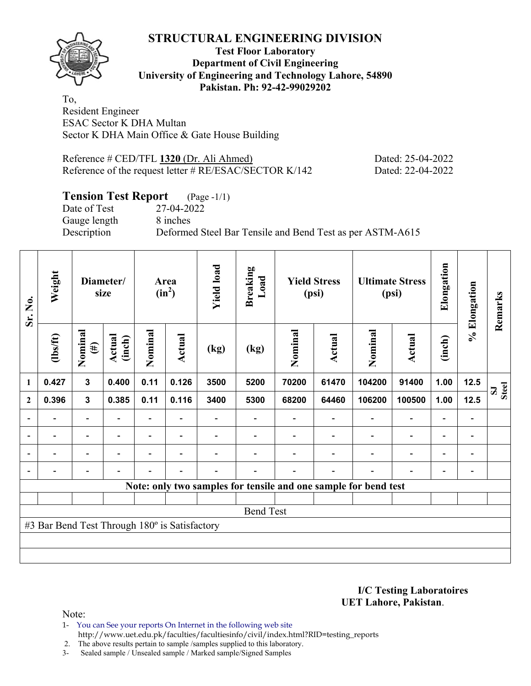

## **Test Floor Laboratory Department of Civil Engineering University of Engineering and Technology Lahore, 54890 Pakistan. Ph: 92-42-99029202**

To, Resident Engineer ESAC Sector K DHA Multan Sector K DHA Main Office & Gate House Building

Reference # CED/TFL **1320** (Dr. Ali Ahmed) Dated: 25-04-2022 Reference of the request letter # RE/ESAC/SECTOR K/142 Dated: 22-04-2022

# **Tension Test Report** (Page -1/1)

Date of Test 27-04-2022 Gauge length 8 inches

Description Deformed Steel Bar Tensile and Bend Test as per ASTM-A615

| Sr. No.      | Weight                                        |                          | Diameter/<br>size |                          | Area<br>$(in^2)$         | <b>Yield load</b> | <b>Breaking</b><br>Load |         | <b>Yield Stress</b><br>(psi) |                                                                 | <b>Ultimate Stress</b><br>(psi) | Elongation               | % Elongation                 | Remarks |
|--------------|-----------------------------------------------|--------------------------|-------------------|--------------------------|--------------------------|-------------------|-------------------------|---------|------------------------------|-----------------------------------------------------------------|---------------------------------|--------------------------|------------------------------|---------|
|              | $\frac{2}{10}$                                | Nominal<br>$(\#)$        | Actual<br>(inch)  | Nominal                  | Actual                   | (kg)              | (kg)                    | Nominal | <b>Actual</b>                | Nominal                                                         | <b>Actual</b>                   | (inch)                   |                              |         |
| 1            | 0.427                                         | $\mathbf{3}$             | 0.400             | 0.11                     | 0.126                    | 3500              | 5200                    | 70200   | 61470                        | 104200                                                          | 91400                           | 1.00                     | 12.5                         | Steel   |
| $\mathbf{2}$ | 0.396                                         | $\mathbf 3$              | 0.385             | 0.11                     | 0.116                    | 3400              | 5300                    | 68200   | 64460                        | 106200                                                          | 100500                          | 1.00                     | 12.5                         |         |
|              |                                               | $\overline{\phantom{0}}$ |                   |                          |                          |                   |                         |         |                              |                                                                 |                                 |                          |                              |         |
|              | $\overline{\phantom{0}}$                      | $\overline{\phantom{a}}$ | $\blacksquare$    | $\overline{\phantom{0}}$ | $\overline{\phantom{a}}$ |                   |                         |         |                              |                                                                 | $\overline{\phantom{a}}$        | $\overline{\phantom{0}}$ | $\qquad \qquad \blacksquare$ |         |
|              |                                               | $\overline{\phantom{0}}$ |                   | $\blacksquare$           |                          |                   |                         |         |                              |                                                                 | $\overline{\phantom{0}}$        | $\overline{\phantom{0}}$ | $\overline{\phantom{0}}$     |         |
|              | $\overline{\phantom{0}}$                      | $\overline{\phantom{0}}$ |                   | -                        | $\overline{\phantom{0}}$ |                   |                         |         |                              |                                                                 | $\blacksquare$                  | $\overline{\phantom{0}}$ | $\qquad \qquad \blacksquare$ |         |
|              |                                               |                          |                   |                          |                          |                   |                         |         |                              | Note: only two samples for tensile and one sample for bend test |                                 |                          |                              |         |
|              |                                               |                          |                   |                          |                          |                   |                         |         |                              |                                                                 |                                 |                          |                              |         |
|              |                                               |                          |                   |                          |                          |                   | <b>Bend Test</b>        |         |                              |                                                                 |                                 |                          |                              |         |
|              | #3 Bar Bend Test Through 180° is Satisfactory |                          |                   |                          |                          |                   |                         |         |                              |                                                                 |                                 |                          |                              |         |
|              |                                               |                          |                   |                          |                          |                   |                         |         |                              |                                                                 |                                 |                          |                              |         |
|              |                                               |                          |                   |                          |                          |                   |                         |         |                              |                                                                 |                                 |                          |                              |         |

**I/C Testing Laboratoires UET Lahore, Pakistan**.

Note:

1- You can See your reports On Internet in the following web site http://www.uet.edu.pk/faculties/facultiesinfo/civil/index.html?RID=testing\_reports

2. The above results pertain to sample /samples supplied to this laboratory.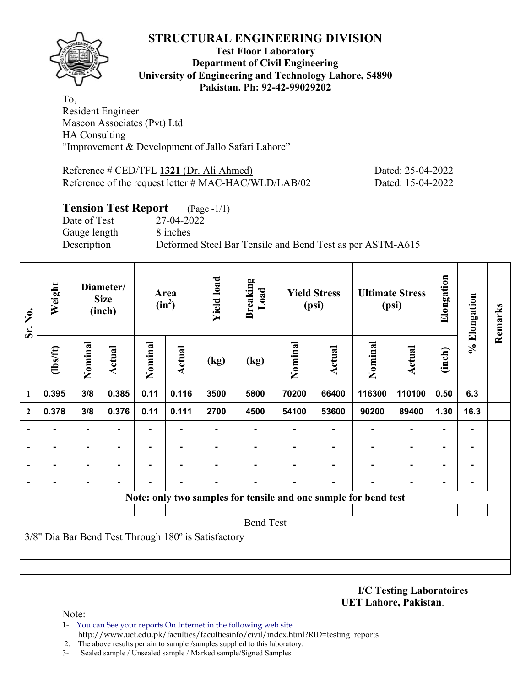

## **Test Floor Laboratory Department of Civil Engineering University of Engineering and Technology Lahore, 54890 Pakistan. Ph: 92-42-99029202**

To, Resident Engineer Mascon Associates (Pvt) Ltd HA Consulting "Improvement & Development of Jallo Safari Lahore"

Reference # CED/TFL **1321** (Dr. Ali Ahmed) Dated: 25-04-2022 Reference of the request letter # MAC-HAC/WLD/LAB/02 Dated: 15-04-2022

# **Tension Test Report** (Page -1/1) Date of Test 27-04-2022 Gauge length 8 inches Description Deformed Steel Bar Tensile and Bend Test as per ASTM-A615

| Sr. No.                  | Weight           |                | Diameter/<br><b>Size</b><br>(inch) |                | Area<br>$(in^2)$ | <b>Yield load</b>                                   | <b>Breaking</b><br>Load |         | <b>Yield Stress</b><br>(psi) |                                                                 | <b>Ultimate Stress</b><br>(psi) | Elongation     | % Elongation   | Remarks |
|--------------------------|------------------|----------------|------------------------------------|----------------|------------------|-----------------------------------------------------|-------------------------|---------|------------------------------|-----------------------------------------------------------------|---------------------------------|----------------|----------------|---------|
|                          | (1bs/ft)         | Nominal        | <b>Actual</b>                      | Nominal        | Actual           | (kg)                                                | (kg)                    | Nominal | Actual                       | Nominal                                                         | Actual                          | (inch)         |                |         |
| 1                        | 0.395            | 3/8            | 0.385                              | 0.11           | 0.116            | 3500                                                | 5800                    | 70200   | 66400                        | 116300                                                          | 110100                          | 0.50           | 6.3            |         |
| $\mathbf{2}$             | 0.378            | 3/8            | 0.376                              | 0.11           | 0.111            | 2700                                                | 4500                    | 54100   | 53600                        | 90200                                                           | 89400                           | 1.30           | 16.3           |         |
|                          | $\blacksquare$   | $\blacksquare$ | -                                  | $\blacksquare$ | $\blacksquare$   |                                                     | ۰                       | ۰       |                              | $\blacksquare$                                                  | $\blacksquare$                  | ۰              |                |         |
|                          |                  | $\blacksquare$ | -                                  | ۰              | -                |                                                     |                         |         |                              |                                                                 | $\blacksquare$                  | $\blacksquare$ | $\blacksquare$ |         |
|                          |                  |                |                                    |                |                  |                                                     |                         |         |                              |                                                                 | $\blacksquare$                  | ۰              |                |         |
| $\overline{\phantom{0}}$ |                  |                |                                    |                |                  |                                                     |                         |         |                              |                                                                 |                                 | ۰              |                |         |
|                          |                  |                |                                    |                |                  |                                                     |                         |         |                              | Note: only two samples for tensile and one sample for bend test |                                 |                |                |         |
|                          |                  |                |                                    |                |                  |                                                     |                         |         |                              |                                                                 |                                 |                |                |         |
|                          | <b>Bend Test</b> |                |                                    |                |                  |                                                     |                         |         |                              |                                                                 |                                 |                |                |         |
|                          |                  |                |                                    |                |                  | 3/8" Dia Bar Bend Test Through 180° is Satisfactory |                         |         |                              |                                                                 |                                 |                |                |         |
|                          |                  |                |                                    |                |                  |                                                     |                         |         |                              |                                                                 |                                 |                |                |         |
|                          |                  |                |                                    |                |                  |                                                     |                         |         |                              |                                                                 |                                 |                |                |         |

**I/C Testing Laboratoires UET Lahore, Pakistan**.

- 1- You can See your reports On Internet in the following web site http://www.uet.edu.pk/faculties/facultiesinfo/civil/index.html?RID=testing\_reports
- 2. The above results pertain to sample /samples supplied to this laboratory.
- 3- Sealed sample / Unsealed sample / Marked sample/Signed Samples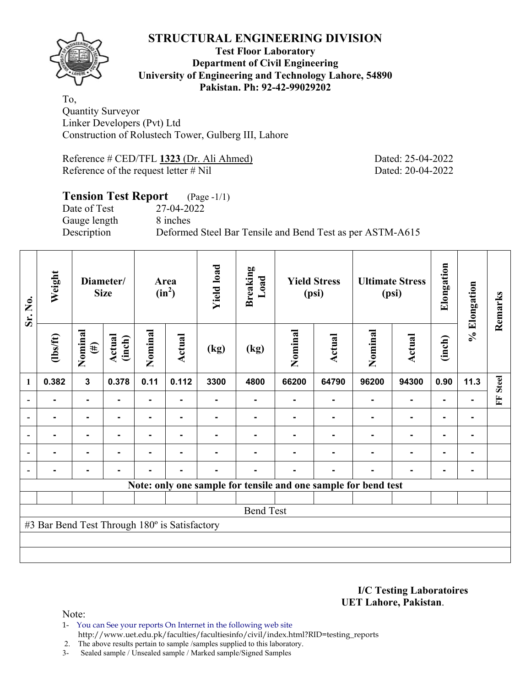**Test Floor Laboratory Department of Civil Engineering University of Engineering and Technology Lahore, 54890 Pakistan. Ph: 92-42-99029202** 

To, Quantity Surveyor Linker Developers (Pvt) Ltd Construction of Rolustech Tower, Gulberg III, Lahore

Reference # CED/TFL **1323** (Dr. Ali Ahmed) Dated: 25-04-2022 Reference of the request letter # Nil Dated: 20-04-2022

### **Tension Test Report** (Page -1/1) Date of Test 27-04-2022

Gauge length 8 inches

Description Deformed Steel Bar Tensile and Bend Test as per ASTM-A615

| Sr. No.                  | Weight                                        |                         | Diameter/<br><b>Size</b> | Area<br>$(in^2)$ |        | <b>Yield load</b> | <b>Breaking</b><br>Load |         | <b>Yield Stress</b><br>(psi) |                                                                | <b>Ultimate Stress</b><br>(psi) | Elongation     | % Elongation | Remarks      |
|--------------------------|-----------------------------------------------|-------------------------|--------------------------|------------------|--------|-------------------|-------------------------|---------|------------------------------|----------------------------------------------------------------|---------------------------------|----------------|--------------|--------------|
|                          | $\frac{2}{10}$                                | Nominal<br>$(\#)$       | Actual<br>(inch)         | Nominal          | Actual | (kg)              | (kg)                    | Nominal | Actual                       | Nominal                                                        | Actual                          | (inch)         |              |              |
| 1                        | 0.382                                         | $\overline{\mathbf{3}}$ | 0.378                    | 0.11             | 0.112  | 3300              | 4800                    | 66200   | 64790                        | 96200                                                          | 94300                           | 0.90           | 11.3         | <b>Steel</b> |
| $\blacksquare$           | ۰                                             | $\blacksquare$          | ٠                        | ۰                |        |                   |                         |         |                              |                                                                | $\blacksquare$                  | ٠              |              | E            |
| $\overline{\phantom{a}}$ |                                               | ۰                       |                          |                  |        |                   |                         |         |                              |                                                                | ٠                               | ۰              |              |              |
| $\overline{\phantom{a}}$ |                                               | ۰                       |                          |                  |        |                   |                         |         |                              |                                                                |                                 | $\blacksquare$ |              |              |
| $\overline{\phantom{a}}$ | -                                             | ۰                       | $\blacksquare$           |                  |        |                   |                         |         |                              |                                                                | ٠                               | $\blacksquare$ |              |              |
| $\blacksquare$           |                                               | ۰                       |                          |                  |        |                   |                         |         |                              |                                                                | $\blacksquare$                  | ۰              |              |              |
|                          |                                               |                         |                          |                  |        |                   |                         |         |                              | Note: only one sample for tensile and one sample for bend test |                                 |                |              |              |
|                          |                                               |                         |                          |                  |        |                   |                         |         |                              |                                                                |                                 |                |              |              |
|                          |                                               |                         |                          |                  |        |                   | <b>Bend Test</b>        |         |                              |                                                                |                                 |                |              |              |
|                          | #3 Bar Bend Test Through 180° is Satisfactory |                         |                          |                  |        |                   |                         |         |                              |                                                                |                                 |                |              |              |
|                          |                                               |                         |                          |                  |        |                   |                         |         |                              |                                                                |                                 |                |              |              |
|                          |                                               |                         |                          |                  |        |                   |                         |         |                              |                                                                |                                 |                |              |              |

**I/C Testing Laboratoires UET Lahore, Pakistan**.

Note:

1- You can See your reports On Internet in the following web site http://www.uet.edu.pk/faculties/facultiesinfo/civil/index.html?RID=testing\_reports

2. The above results pertain to sample /samples supplied to this laboratory.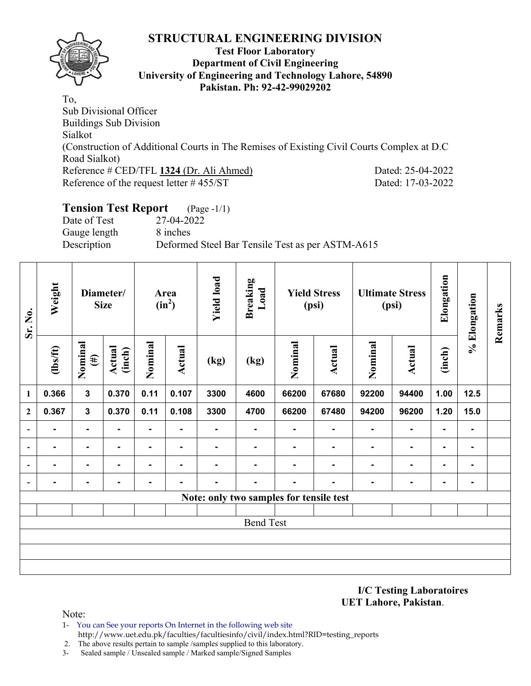

## **Test Floor Laboratory Department of Civil Engineering University of Engineering and Technology Lahore, 54890 Pakistan. Ph: 92-42-99029202**

To, Sub Divisional Officer Buildings Sub Division Sialkot (Construction of Additional Courts in The Remises of Existing Civil Courts Complex at D.C Road Sialkot) Reference # CED/TFL **1324** (Dr. Ali Ahmed) Dated: 25-04-2022 Reference of the request letter # 455/ST Dated: 17-03-2022

# **Tension Test Report** (Page -1/1)

Date of Test 27-04-2022 Gauge length 8 inches

Description Deformed Steel Bar Tensile Test as per ASTM-A615

| Sr. No.                  | Weight         |                   | Diameter/<br><b>Size</b> |                | Area<br>$(in^2)$ | <b>Yield load</b> | <b>Breaking</b><br>Load                 |         | <b>Yield Stress</b><br>(psi) |                | <b>Ultimate Stress</b><br>(psi) | Elongation     | % Elongation   | Remarks |
|--------------------------|----------------|-------------------|--------------------------|----------------|------------------|-------------------|-----------------------------------------|---------|------------------------------|----------------|---------------------------------|----------------|----------------|---------|
|                          | $\frac{2}{10}$ | Nominal<br>$(\#)$ | <b>Actual</b><br>(inch)  | Nominal        | <b>Actual</b>    | (kg)              | (kg)                                    | Nominal | Actual                       | Nominal        | <b>Actual</b>                   | (inch)         |                |         |
| 1                        | 0.366          | $\mathbf{3}$      | 0.370                    | 0.11           | 0.107            | 3300              | 4600                                    | 66200   | 67680                        | 92200          | 94400                           | 1.00           | 12.5           |         |
| $\overline{2}$           | 0.367          | $\mathbf{3}$      | 0.370                    | 0.11           | 0.108            | 3300              | 4700                                    | 66200   | 67480                        | 94200          | 96200                           | 1.20           | 15.0           |         |
| $\overline{\phantom{a}}$ | ۰.             | $\blacksquare$    |                          | ۰.             | $\blacksquare$   |                   | ۰                                       |         | $\blacksquare$               | $\blacksquare$ | $\blacksquare$                  | $\blacksquare$ |                |         |
| $\overline{\phantom{a}}$ | ۰              | $\blacksquare$    | ۰                        |                | $\blacksquare$   |                   |                                         |         |                              |                | $\blacksquare$                  | $\blacksquare$ |                |         |
| $\blacksquare$           | ۰.             | $\blacksquare$    | $\blacksquare$           | $\blacksquare$ | $\blacksquare$   | -                 | ۰                                       |         | $\blacksquare$               | $\blacksquare$ | $\blacksquare$                  | $\blacksquare$ | $\blacksquare$ |         |
| $\overline{\phantom{a}}$ | ۰              | ۰                 | $\blacksquare$           | ۰              | $\blacksquare$   | -                 | $\blacksquare$                          |         | $\blacksquare$               | $\blacksquare$ | $\blacksquare$                  | $\blacksquare$ |                |         |
|                          |                |                   |                          |                |                  |                   | Note: only two samples for tensile test |         |                              |                |                                 |                |                |         |
|                          |                |                   |                          |                |                  |                   |                                         |         |                              |                |                                 |                |                |         |
|                          |                |                   |                          |                |                  |                   | <b>Bend Test</b>                        |         |                              |                |                                 |                |                |         |
|                          |                |                   |                          |                |                  |                   |                                         |         |                              |                |                                 |                |                |         |
|                          |                |                   |                          |                |                  |                   |                                         |         |                              |                |                                 |                |                |         |
|                          |                |                   |                          |                |                  |                   |                                         |         |                              |                |                                 |                |                |         |

**I/C Testing Laboratoires UET Lahore, Pakistan**.

- 1- You can See your reports On Internet in the following web site http://www.uet.edu.pk/faculties/facultiesinfo/civil/index.html?RID=testing\_reports
- 2. The above results pertain to sample /samples supplied to this laboratory.
- 3- Sealed sample / Unsealed sample / Marked sample/Signed Samples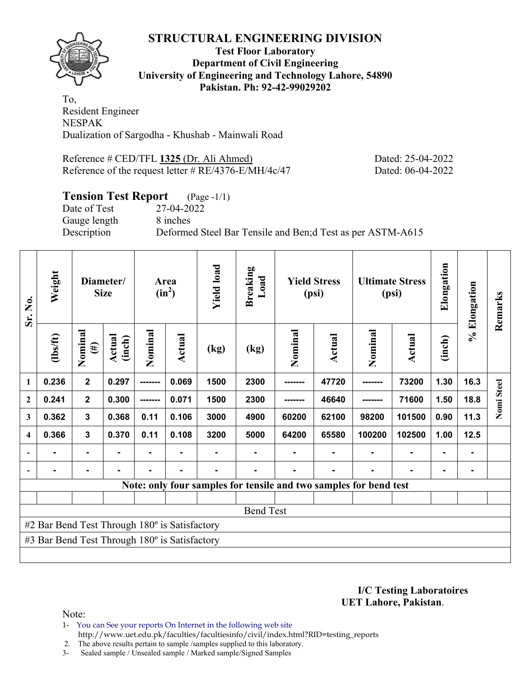**Test Floor Laboratory Department of Civil Engineering University of Engineering and Technology Lahore, 54890 Pakistan. Ph: 92-42-99029202** 

To, Resident Engineer NESPAK Dualization of Sargodha - Khushab - Mainwali Road

Reference # CED/TFL **1325** (Dr. Ali Ahmed) Dated: 25-04-2022 Reference of the request letter # RE/4376-E/MH/4c/47 Dated: 06-04-2022

# **Tension Test Report** (Page -1/1)

Date of Test 27-04-2022 Gauge length 8 inches

Description Deformed Steel Bar Tensile and Ben;d Test as per ASTM-A615

| Sr. No.                  | Weight                                        |                         | Diameter/<br><b>Size</b> |                | Area<br>$(in^2)$ |      | <b>Breaking</b><br>Load |          | <b>Yield Stress</b><br>(psi) |                                                                   | <b>Ultimate Stress</b><br>(psi) | Elongation     | % Elongation | Remarks    |
|--------------------------|-----------------------------------------------|-------------------------|--------------------------|----------------|------------------|------|-------------------------|----------|------------------------------|-------------------------------------------------------------------|---------------------------------|----------------|--------------|------------|
|                          | $\frac{2}{10}$                                | Nominal<br>$(\#)$       | Actual<br>(inch)         | Nominal        | <b>Actual</b>    | (kg) | (kg)                    | Nominal  | Actual                       | Nominal                                                           | Actual                          | (inch)         |              |            |
| $\mathbf{1}$             | 0.236                                         | $\mathbf{2}$            | 0.297                    | -------        | 0.069            | 1500 | 2300                    | -------- | 47720                        |                                                                   | 73200                           | 1.30           | 16.3         |            |
| $\boldsymbol{2}$         | 0.241                                         | $\overline{\mathbf{2}}$ | 0.300                    | -------        | 0.071            | 1500 | 2300                    |          | 46640                        |                                                                   | 71600                           | 1.50           | 18.8         | Nomi Steel |
| 3                        | 0.362                                         | $\mathbf{3}$            | 0.368                    | 0.11           | 0.106            | 3000 | 4900                    | 60200    | 62100                        | 98200                                                             | 101500                          | 0.90           | 11.3         |            |
| $\overline{\mathbf{4}}$  | 0.366                                         | 3                       | 0.370                    | 0.11           | 0.108            | 3200 | 5000                    | 64200    | 65580                        | 100200                                                            | 102500                          | 1.00           | 12.5         |            |
|                          |                                               | $\blacksquare$          |                          | $\blacksquare$ |                  |      |                         |          |                              |                                                                   |                                 | $\blacksquare$ |              |            |
| $\overline{\phantom{a}}$ |                                               | ۰                       |                          |                |                  |      |                         |          |                              |                                                                   |                                 |                |              |            |
|                          |                                               |                         |                          |                |                  |      |                         |          |                              | Note: only four samples for tensile and two samples for bend test |                                 |                |              |            |
|                          |                                               |                         |                          |                |                  |      |                         |          |                              |                                                                   |                                 |                |              |            |
|                          |                                               |                         |                          |                |                  |      | <b>Bend Test</b>        |          |                              |                                                                   |                                 |                |              |            |
|                          | #2 Bar Bend Test Through 180° is Satisfactory |                         |                          |                |                  |      |                         |          |                              |                                                                   |                                 |                |              |            |
|                          | #3 Bar Bend Test Through 180° is Satisfactory |                         |                          |                |                  |      |                         |          |                              |                                                                   |                                 |                |              |            |
|                          |                                               |                         |                          |                |                  |      |                         |          |                              |                                                                   |                                 |                |              |            |

**I/C Testing Laboratoires UET Lahore, Pakistan**.

Note:

- 1- You can See your reports On Internet in the following web site
	- http://www.uet.edu.pk/faculties/facultiesinfo/civil/index.html?RID=testing\_reports

2. The above results pertain to sample /samples supplied to this laboratory.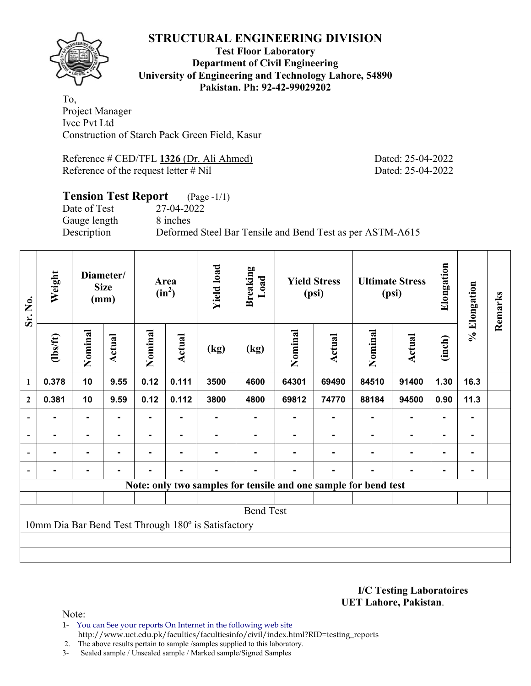

## **Test Floor Laboratory Department of Civil Engineering University of Engineering and Technology Lahore, 54890 Pakistan. Ph: 92-42-99029202**

To, Project Manager Ivcc Pvt Ltd Construction of Starch Pack Green Field, Kasur

Reference # CED/TFL **1326** (Dr. Ali Ahmed) Dated: 25-04-2022 Reference of the request letter # Nil Dated: 25-04-2022

### **Tension Test Report** (Page -1/1) Date of Test 27-04-2022

Gauge length 8 inches

Description Deformed Steel Bar Tensile and Bend Test as per ASTM-A615

| Sr. No.                  | Weight   |                | Diameter/<br><b>Size</b><br>(mm) |                | Area<br>$(in^2)$ |                                                     | <b>Breaking</b><br>Load |         | <b>Yield Stress</b><br>(psi)                                    |         | <b>Ultimate Stress</b><br>(psi) | Elongation     | % Elongation   | Remarks |
|--------------------------|----------|----------------|----------------------------------|----------------|------------------|-----------------------------------------------------|-------------------------|---------|-----------------------------------------------------------------|---------|---------------------------------|----------------|----------------|---------|
|                          | (1bs/ft) | Nominal        | Actual                           | Nominal        | Actual           | (kg)                                                | (kg)                    | Nominal | <b>Actual</b>                                                   | Nominal | Actual                          | (inch)         |                |         |
| 1                        | 0.378    | 10             | 9.55                             | 0.12           | 0.111            | 3500                                                | 4600                    | 64301   | 69490                                                           | 84510   | 91400                           | 1.30           | 16.3           |         |
| $\mathbf{2}$             | 0.381    | 10             | 9.59                             | 0.12           | 0.112            | 3800                                                | 4800                    | 69812   | 74770                                                           | 88184   | 94500                           | 0.90           | 11.3           |         |
| $\overline{\phantom{a}}$ |          | $\blacksquare$ |                                  |                |                  |                                                     |                         |         |                                                                 |         | $\blacksquare$                  | ۰              |                |         |
| $\overline{\phantom{a}}$ |          | $\blacksquare$ | ۰.                               | ٠              |                  |                                                     |                         |         |                                                                 |         | ٠                               | $\blacksquare$ |                |         |
| $\overline{\phantom{a}}$ | ۰        | $\blacksquare$ | ۰                                | Ξ.             | $\blacksquare$   | -                                                   |                         |         |                                                                 | ۰       | $\blacksquare$                  | $\blacksquare$ | $\blacksquare$ |         |
|                          |          | $\blacksquare$ |                                  | $\blacksquare$ | $\blacksquare$   |                                                     |                         |         | -                                                               |         | $\blacksquare$                  | $\blacksquare$ |                |         |
|                          |          |                |                                  |                |                  |                                                     |                         |         | Note: only two samples for tensile and one sample for bend test |         |                                 |                |                |         |
|                          |          |                |                                  |                |                  |                                                     |                         |         |                                                                 |         |                                 |                |                |         |
|                          |          |                |                                  |                |                  |                                                     | <b>Bend Test</b>        |         |                                                                 |         |                                 |                |                |         |
|                          |          |                |                                  |                |                  | 10mm Dia Bar Bend Test Through 180° is Satisfactory |                         |         |                                                                 |         |                                 |                |                |         |
|                          |          |                |                                  |                |                  |                                                     |                         |         |                                                                 |         |                                 |                |                |         |
|                          |          |                |                                  |                |                  |                                                     |                         |         |                                                                 |         |                                 |                |                |         |

**I/C Testing Laboratoires UET Lahore, Pakistan**.

- 1- You can See your reports On Internet in the following web site http://www.uet.edu.pk/faculties/facultiesinfo/civil/index.html?RID=testing\_reports
- 2. The above results pertain to sample /samples supplied to this laboratory.
- 3- Sealed sample / Unsealed sample / Marked sample/Signed Samples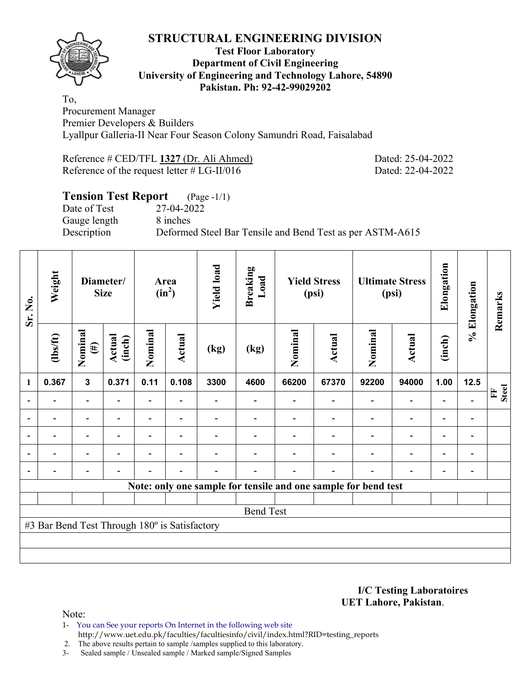

## **Test Floor Laboratory Department of Civil Engineering University of Engineering and Technology Lahore, 54890 Pakistan. Ph: 92-42-99029202**

To, Procurement Manager Premier Developers & Builders Lyallpur Galleria-II Near Four Season Colony Samundri Road, Faisalabad

| Reference # CED/TFL 1327 (Dr. Ali Ahmed)      |  |
|-----------------------------------------------|--|
| Reference of the request letter $# LG-II/016$ |  |

Dated: 25-04-2022 Dated: 22-04-2022

# **Tension Test Report** (Page -1/1) Date of Test 27-04-2022 Gauge length 8 inches Description Deformed Steel Bar Tensile and Bend Test as per ASTM-A615

| Sr. No.                  | Weight                                        |                                                                | Diameter/<br><b>Size</b> | Area<br>$(in^2)$ |                          | <b>Yield load</b> | Breaking<br>Load | <b>Yield Stress</b><br>(psi) |                |                          | <b>Ultimate Stress</b><br>(psi) | Elongation               | % Elongation                 | Remarks           |
|--------------------------|-----------------------------------------------|----------------------------------------------------------------|--------------------------|------------------|--------------------------|-------------------|------------------|------------------------------|----------------|--------------------------|---------------------------------|--------------------------|------------------------------|-------------------|
|                          | $\frac{2}{10}$                                | Nominal<br>$(\#)$                                              | Actual<br>(inch)         | Nominal          | Actual                   | (kg)              | (kg)             | Nominal                      | Actual         | Nominal                  | Actual                          | (inch)                   |                              |                   |
| $\mathbf{1}$             | 0.367                                         | $\mathbf{3}$                                                   | 0.371                    | 0.11             | 0.108                    | 3300              | 4600             | 66200                        | 67370          | 92200                    | 94000                           | 1.00                     | 12.5                         |                   |
| $\overline{\phantom{0}}$ | $\overline{a}$                                | $\overline{\phantom{a}}$                                       |                          | ٠                | $\overline{\phantom{0}}$ |                   |                  |                              |                | $\blacksquare$           | $\blacksquare$                  | $\overline{\phantom{0}}$ |                              | <b>Steel</b><br>E |
| $\blacksquare$           |                                               | $\blacksquare$                                                 | ۰                        | $\blacksquare$   | $\blacksquare$           |                   |                  |                              |                | ۰                        | $\overline{\phantom{0}}$        | ۰                        |                              |                   |
| $\overline{a}$           |                                               | $\overline{\phantom{0}}$                                       |                          |                  | $\overline{\phantom{0}}$ |                   |                  |                              |                |                          | $\overline{a}$                  | $\overline{\phantom{0}}$ |                              |                   |
| $\overline{\phantom{a}}$ |                                               | $\overline{\phantom{0}}$                                       | $\overline{\phantom{0}}$ |                  | $\blacksquare$           |                   |                  |                              |                | $\overline{\phantom{a}}$ | $\blacksquare$                  | $\overline{\phantom{a}}$ | $\qquad \qquad \blacksquare$ |                   |
|                          | $\overline{a}$                                | $\overline{\phantom{0}}$                                       |                          |                  | $\overline{\phantom{0}}$ |                   |                  |                              | $\overline{a}$ | $\blacksquare$           | $\overline{\phantom{0}}$        | $\overline{\phantom{a}}$ | $\overline{\phantom{0}}$     |                   |
|                          |                                               | Note: only one sample for tensile and one sample for bend test |                          |                  |                          |                   |                  |                              |                |                          |                                 |                          |                              |                   |
|                          |                                               |                                                                |                          |                  |                          |                   |                  |                              |                |                          |                                 |                          |                              |                   |
|                          |                                               |                                                                |                          |                  |                          |                   | <b>Bend Test</b> |                              |                |                          |                                 |                          |                              |                   |
|                          | #3 Bar Bend Test Through 180° is Satisfactory |                                                                |                          |                  |                          |                   |                  |                              |                |                          |                                 |                          |                              |                   |
|                          |                                               |                                                                |                          |                  |                          |                   |                  |                              |                |                          |                                 |                          |                              |                   |
|                          |                                               |                                                                |                          |                  |                          |                   |                  |                              |                |                          |                                 |                          |                              |                   |

**I/C Testing Laboratoires UET Lahore, Pakistan**.

- 1- You can See your reports On Internet in the following web site http://www.uet.edu.pk/faculties/facultiesinfo/civil/index.html?RID=testing\_reports
- 2. The above results pertain to sample /samples supplied to this laboratory.
- 3- Sealed sample / Unsealed sample / Marked sample/Signed Samples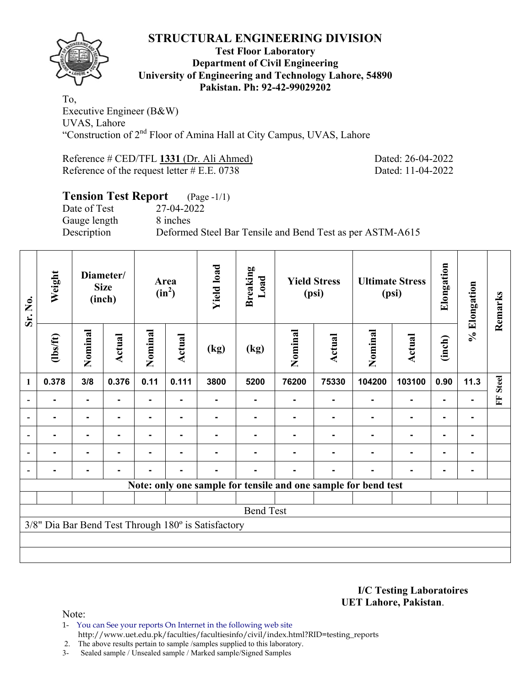

## **Test Floor Laboratory Department of Civil Engineering University of Engineering and Technology Lahore, 54890 Pakistan. Ph: 92-42-99029202**

To, Executive Engineer (B&W) UVAS, Lahore "Construction of 2nd Floor of Amina Hall at City Campus, UVAS, Lahore

Reference # CED/TFL **1331** (Dr. Ali Ahmed) Dated: 26-04-2022 Reference of the request letter # E.E. 0738 Dated: 11-04-2022

# **Tension Test Report** (Page -1/1) Date of Test 27-04-2022 Gauge length 8 inches Description Deformed Steel Bar Tensile and Bend Test as per ASTM-A615

| Sr. No.                  | Weight         |                | Diameter/<br><b>Size</b><br>(inch) | Area<br>$(in^2)$ |                | <b>Yield load</b>                                   | <b>Breaking</b><br>Load |         | <b>Yield Stress</b><br>(psi) |                                                                | <b>Ultimate Stress</b><br>(psi) | Elongation     | % Elongation | Remarks      |
|--------------------------|----------------|----------------|------------------------------------|------------------|----------------|-----------------------------------------------------|-------------------------|---------|------------------------------|----------------------------------------------------------------|---------------------------------|----------------|--------------|--------------|
|                          | $\frac{1}{10}$ | Nominal        | <b>Actual</b>                      | Nominal          | Actual         | (kg)                                                | (kg)                    | Nominal | Actual                       | Nominal                                                        | <b>Actual</b>                   | (inch)         |              |              |
| 1                        | 0.378          | 3/8            | 0.376                              | 0.11             | 0.111          | 3800                                                | 5200                    | 76200   | 75330                        | 104200                                                         | 103100                          | 0.90           | 11.3         | <b>Steel</b> |
| $\overline{\phantom{0}}$ |                | ٠.             |                                    | Ξ.               |                |                                                     |                         |         |                              |                                                                | $\blacksquare$                  | ٠              |              | E            |
|                          |                | $\blacksquare$ |                                    |                  |                |                                                     |                         |         |                              |                                                                | ۰                               | ۰              |              |              |
| $\blacksquare$           |                | $\blacksquare$ |                                    |                  |                |                                                     |                         |         |                              |                                                                |                                 |                |              |              |
| $\overline{\phantom{a}}$ |                | $\blacksquare$ |                                    |                  |                |                                                     |                         |         |                              |                                                                | $\blacksquare$                  | $\blacksquare$ |              |              |
| $\overline{\phantom{0}}$ |                | $\blacksquare$ |                                    |                  | $\blacksquare$ |                                                     |                         |         |                              |                                                                | ۰                               | $\blacksquare$ |              |              |
|                          |                |                |                                    |                  |                |                                                     |                         |         |                              | Note: only one sample for tensile and one sample for bend test |                                 |                |              |              |
|                          |                |                |                                    |                  |                |                                                     |                         |         |                              |                                                                |                                 |                |              |              |
|                          |                |                |                                    |                  |                |                                                     | <b>Bend Test</b>        |         |                              |                                                                |                                 |                |              |              |
|                          |                |                |                                    |                  |                | 3/8" Dia Bar Bend Test Through 180° is Satisfactory |                         |         |                              |                                                                |                                 |                |              |              |
|                          |                |                |                                    |                  |                |                                                     |                         |         |                              |                                                                |                                 |                |              |              |
|                          |                |                |                                    |                  |                |                                                     |                         |         |                              |                                                                |                                 |                |              |              |

### **I/C Testing Laboratoires UET Lahore, Pakistan**.

- 1- You can See your reports On Internet in the following web site http://www.uet.edu.pk/faculties/facultiesinfo/civil/index.html?RID=testing\_reports
- 2. The above results pertain to sample /samples supplied to this laboratory.
- 3- Sealed sample / Unsealed sample / Marked sample/Signed Samples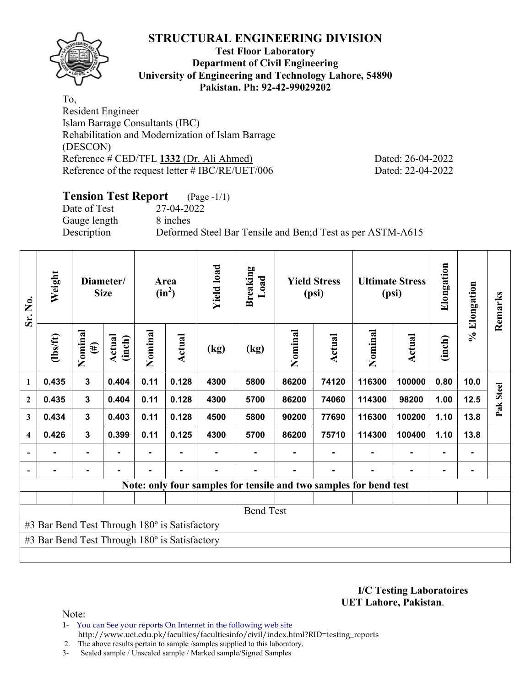

## **Test Floor Laboratory Department of Civil Engineering University of Engineering and Technology Lahore, 54890 Pakistan. Ph: 92-42-99029202**

To, Resident Engineer Islam Barrage Consultants (IBC) Rehabilitation and Modernization of Islam Barrage (DESCON) Reference # CED/TFL **1332** (Dr. Ali Ahmed) Dated: 26-04-2022 Reference of the request letter # IBC/RE/UET/006 Dated: 22-04-2022

# **Tension Test Report** (Page -1/1)

Date of Test 27-04-2022 Gauge length 8 inches

Description Deformed Steel Bar Tensile and Ben;d Test as per ASTM-A615

| Sr. No.                  | Weight                                        |                   | Diameter/<br><b>Size</b> |         | Area<br>$(in^2)$ | <b>Yield load</b> | <b>Breaking</b><br>Load |         | <b>Yield Stress</b><br>(psi) |                                                                   | <b>Ultimate Stress</b><br>(psi) | Elongation     | % Elongation | Remarks   |
|--------------------------|-----------------------------------------------|-------------------|--------------------------|---------|------------------|-------------------|-------------------------|---------|------------------------------|-------------------------------------------------------------------|---------------------------------|----------------|--------------|-----------|
|                          | $\frac{1}{10}$                                | Nominal<br>$(\#)$ | Actual<br>(inch)         | Nominal | Actual           | (kg)              | (kg)                    | Nominal | Actual                       | Nominal                                                           | <b>Actual</b>                   | (inch)         |              |           |
| 1                        | 0.435                                         | 3                 | 0.404                    | 0.11    | 0.128            | 4300              | 5800                    | 86200   | 74120                        | 116300                                                            | 100000                          | 0.80           | 10.0         |           |
| $\boldsymbol{2}$         | 0.435                                         | 3                 | 0.404                    | 0.11    | 0.128            | 4300              | 5700                    | 86200   | 74060                        | 114300                                                            | 98200                           | 1.00           | 12.5         | Pak Steel |
| 3                        | 0.434                                         | $\mathbf{3}$      | 0.403                    | 0.11    | 0.128            | 4500              | 5800                    | 90200   | 77690                        | 116300                                                            | 100200                          | 1.10           | 13.8         |           |
| $\overline{\mathbf{4}}$  | 0.426                                         | $\overline{3}$    | 0.399                    | 0.11    | 0.125            | 4300              | 5700                    | 86200   | 75710                        | 114300                                                            | 100400                          | 1.10           | 13.8         |           |
| $\overline{\phantom{0}}$ | ۰                                             | $\blacksquare$    | $\blacksquare$           | Ξ.      |                  |                   |                         |         | ۰                            | $\blacksquare$                                                    | ۰                               | $\blacksquare$ |              |           |
| $\blacksquare$           |                                               | $\blacksquare$    | $\blacksquare$           | ٠       | $\blacksquare$   | $\blacksquare$    |                         |         | $\blacksquare$               |                                                                   | $\blacksquare$                  | $\blacksquare$ |              |           |
|                          |                                               |                   |                          |         |                  |                   |                         |         |                              | Note: only four samples for tensile and two samples for bend test |                                 |                |              |           |
|                          |                                               |                   |                          |         |                  |                   |                         |         |                              |                                                                   |                                 |                |              |           |
|                          |                                               |                   |                          |         |                  |                   | <b>Bend Test</b>        |         |                              |                                                                   |                                 |                |              |           |
|                          | #3 Bar Bend Test Through 180° is Satisfactory |                   |                          |         |                  |                   |                         |         |                              |                                                                   |                                 |                |              |           |
|                          | #3 Bar Bend Test Through 180° is Satisfactory |                   |                          |         |                  |                   |                         |         |                              |                                                                   |                                 |                |              |           |
|                          |                                               |                   |                          |         |                  |                   |                         |         |                              |                                                                   |                                 |                |              |           |

**I/C Testing Laboratoires UET Lahore, Pakistan**.

Note:

- 1- You can See your reports On Internet in the following web site
- http://www.uet.edu.pk/faculties/facultiesinfo/civil/index.html?RID=testing\_reports

2. The above results pertain to sample /samples supplied to this laboratory.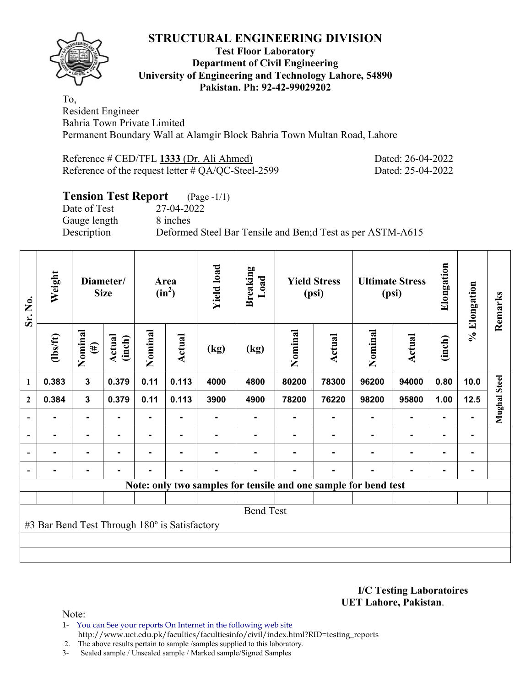

## **Test Floor Laboratory Department of Civil Engineering University of Engineering and Technology Lahore, 54890 Pakistan. Ph: 92-42-99029202**

To, Resident Engineer Bahria Town Private Limited Permanent Boundary Wall at Alamgir Block Bahria Town Multan Road, Lahore

| Reference # CED/TFL 1333 (Dr. Ali Ahmed)              | Dated: 26-04-2022 |
|-------------------------------------------------------|-------------------|
| Reference of the request letter $\#$ QA/QC-Steel-2599 | Dated: 25-04-2022 |

# **Tension Test Report** (Page -1/1)

Date of Test 27-04-2022 Gauge length 8 inches

Description Deformed Steel Bar Tensile and Ben;d Test as per ASTM-A615

| Sr. No.                  | Weight                                        |                   | Diameter/<br><b>Size</b> |                | Area<br>$(in^2)$ |      | <b>Breaking</b><br>Load |         | <b>Yield Stress</b><br>(psi)                                    |                | <b>Ultimate Stress</b><br>(psi) | Elongation     | % Elongation   | Remarks      |
|--------------------------|-----------------------------------------------|-------------------|--------------------------|----------------|------------------|------|-------------------------|---------|-----------------------------------------------------------------|----------------|---------------------------------|----------------|----------------|--------------|
|                          | $\frac{2}{10}$                                | Nominal<br>$(\#)$ | Actual<br>(inch)         | Nominal        | Actual           | (kg) | (kg)                    | Nominal | <b>Actual</b>                                                   | Nominal        | Actual                          | (inch)         |                |              |
| 1                        | 0.383                                         | $\mathbf 3$       | 0.379                    | 0.11           | 0.113            | 4000 | 4800                    | 80200   | 78300                                                           | 96200          | 94000                           | 0.80           | 10.0           |              |
| $\mathbf{2}$             | 0.384                                         | $\mathbf{3}$      | 0.379                    | 0.11           | 0.113            | 3900 | 4900                    | 78200   | 76220                                                           | 98200          | 95800                           | 1.00           | 12.5           | Mughal Steel |
| $\overline{\phantom{a}}$ |                                               | ۰                 |                          |                |                  |      |                         |         |                                                                 |                | $\blacksquare$                  | $\blacksquare$ |                |              |
| $\overline{\phantom{a}}$ | -                                             | ۰                 | $\blacksquare$           |                |                  |      |                         |         |                                                                 |                | $\blacksquare$                  | ۰              | ۰              |              |
| $\overline{\phantom{a}}$ | -                                             | ٠                 | -                        | $\blacksquare$ | ٠                |      |                         |         | -                                                               | ۰              | $\blacksquare$                  | ٠              | $\blacksquare$ |              |
| $\overline{\phantom{0}}$ |                                               | ۰                 | $\blacksquare$           | Ξ.             | ٠                | ۰    |                         |         | $\blacksquare$                                                  | $\blacksquare$ | $\blacksquare$                  | ۰              | ۰              |              |
|                          |                                               |                   |                          |                |                  |      |                         |         | Note: only two samples for tensile and one sample for bend test |                |                                 |                |                |              |
|                          |                                               |                   |                          |                |                  |      |                         |         |                                                                 |                |                                 |                |                |              |
|                          |                                               |                   |                          |                |                  |      | <b>Bend Test</b>        |         |                                                                 |                |                                 |                |                |              |
|                          | #3 Bar Bend Test Through 180° is Satisfactory |                   |                          |                |                  |      |                         |         |                                                                 |                |                                 |                |                |              |
|                          |                                               |                   |                          |                |                  |      |                         |         |                                                                 |                |                                 |                |                |              |
|                          |                                               |                   |                          |                |                  |      |                         |         |                                                                 |                |                                 |                |                |              |

**I/C Testing Laboratoires UET Lahore, Pakistan**.

- 1- You can See your reports On Internet in the following web site http://www.uet.edu.pk/faculties/facultiesinfo/civil/index.html?RID=testing\_reports
- 2. The above results pertain to sample /samples supplied to this laboratory.
- 3- Sealed sample / Unsealed sample / Marked sample/Signed Samples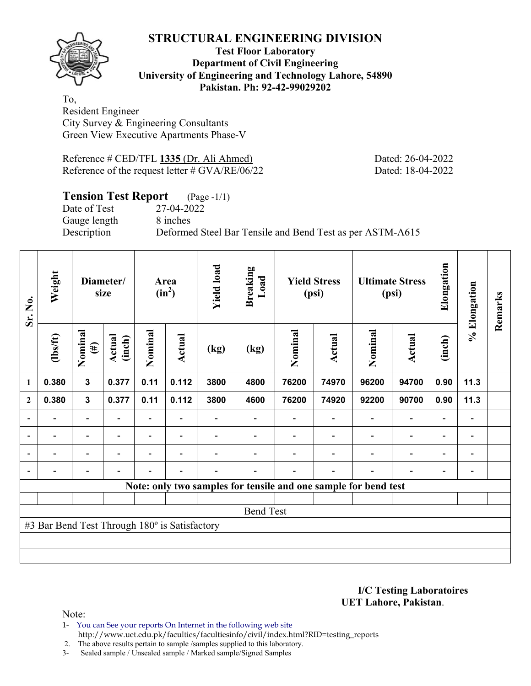

## **Test Floor Laboratory Department of Civil Engineering University of Engineering and Technology Lahore, 54890 Pakistan. Ph: 92-42-99029202**

To, Resident Engineer City Survey & Engineering Consultants Green View Executive Apartments Phase-V

Reference # CED/TFL **1335** (Dr. Ali Ahmed) Dated: 26-04-2022 Reference of the request letter # GVA/RE/06/22 Dated: 18-04-2022

# **Tension Test Report** (Page -1/1)

Date of Test 27-04-2022 Gauge length 8 inches

Description Deformed Steel Bar Tensile and Bend Test as per ASTM-A615

| Sr. No.                  | Weight                                        |                          | Diameter/<br>size |                | Area<br>$(in^2)$         | <b>Yield load</b>        | <b>Breaking</b><br>Load |         | <b>Yield Stress</b><br>(psi)                                    |                          | <b>Ultimate Stress</b><br>(psi) | Elongation               | % Elongation                 | Remarks |
|--------------------------|-----------------------------------------------|--------------------------|-------------------|----------------|--------------------------|--------------------------|-------------------------|---------|-----------------------------------------------------------------|--------------------------|---------------------------------|--------------------------|------------------------------|---------|
|                          | $\frac{2}{10}$                                | Nominal<br>$(\#)$        | Actual<br>(inch)  | Nominal        | Actual                   | (kg)                     | (kg)                    | Nominal | Actual                                                          | Nominal                  | Actual                          | (inch)                   |                              |         |
| 1                        | 0.380                                         | $\mathbf{3}$             | 0.377             | 0.11           | 0.112                    | 3800                     | 4800                    | 76200   | 74970                                                           | 96200                    | 94700                           | 0.90                     | 11.3                         |         |
| $\overline{2}$           | 0.380                                         | $\mathbf{3}$             | 0.377             | 0.11           | 0.112                    | 3800                     | 4600                    | 76200   | 74920                                                           | 92200                    | 90700                           | 0.90                     | 11.3                         |         |
|                          |                                               | $\overline{\phantom{0}}$ |                   |                |                          |                          |                         |         |                                                                 |                          | $\qquad \qquad \blacksquare$    | $\overline{a}$           |                              |         |
| $\overline{\phantom{a}}$ | $\overline{\phantom{0}}$                      | $\overline{\phantom{a}}$ | Ξ.                | Ξ.             | $\overline{\phantom{a}}$ |                          |                         |         | $\overline{\phantom{a}}$                                        | $\overline{\phantom{a}}$ | $\overline{\phantom{a}}$        | $\overline{\phantom{a}}$ | $\overline{\phantom{a}}$     |         |
|                          | $\overline{\phantom{0}}$                      | $\overline{\phantom{0}}$ |                   | Ξ.             | $\overline{\phantom{0}}$ |                          |                         |         | $\overline{\phantom{0}}$                                        | $\blacksquare$           | $\overline{\phantom{0}}$        | $\overline{\phantom{0}}$ | $\overline{\phantom{0}}$     |         |
|                          | $\overline{\phantom{0}}$                      | -                        |                   | $\blacksquare$ | $\blacksquare$           | $\overline{\phantom{0}}$ |                         |         | $\overline{\phantom{0}}$                                        | $\blacksquare$           | $\qquad \qquad \blacksquare$    | -                        | $\qquad \qquad \blacksquare$ |         |
|                          |                                               |                          |                   |                |                          |                          |                         |         | Note: only two samples for tensile and one sample for bend test |                          |                                 |                          |                              |         |
|                          |                                               |                          |                   |                |                          |                          |                         |         |                                                                 |                          |                                 |                          |                              |         |
|                          |                                               |                          |                   |                |                          |                          | <b>Bend Test</b>        |         |                                                                 |                          |                                 |                          |                              |         |
|                          | #3 Bar Bend Test Through 180° is Satisfactory |                          |                   |                |                          |                          |                         |         |                                                                 |                          |                                 |                          |                              |         |
|                          |                                               |                          |                   |                |                          |                          |                         |         |                                                                 |                          |                                 |                          |                              |         |
|                          |                                               |                          |                   |                |                          |                          |                         |         |                                                                 |                          |                                 |                          |                              |         |

**I/C Testing Laboratoires UET Lahore, Pakistan**.

Note:

1- You can See your reports On Internet in the following web site http://www.uet.edu.pk/faculties/facultiesinfo/civil/index.html?RID=testing\_reports

2. The above results pertain to sample /samples supplied to this laboratory.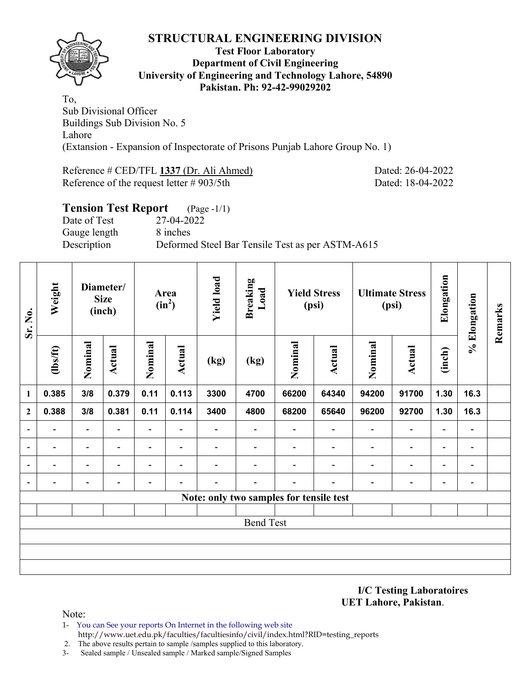

### **Test Floor Laboratory Department of Civil Engineering University of Engineering and Technology Lahore, 54890 Pakistan. Ph: 92-42-99029202**

To, Sub Divisional Officer Buildings Sub Division No. 5 Lahore (Extansion - Expansion of Inspectorate of Prisons Punjab Lahore Group No. 1)

Reference # CED/TFL **1337** (Dr. Ali Ahmed) Dated: 26-04-2022 Reference of the request letter # 903/5th Dated: 18-04-2022

| <b>Tension Test Report</b> (Page -1/1) |                                                  |
|----------------------------------------|--------------------------------------------------|
| Date of Test                           | 27-04-2022                                       |
| Gauge length                           | 8 inches                                         |
| Description                            | Deformed Steel Bar Tensile Test as per ASTM-A615 |

| Sr. No.                  | Weight<br>Diameter/<br><b>Size</b><br>(inch) |                          |                          | Area<br>$(in^2)$         | <b>Yield load</b>        | <b>Breaking</b><br>Load  |                                         | <b>Yield Stress</b><br>(psi) |                          | <b>Ultimate Stress</b><br>(psi) | Elongation                   | % Elongation             | Remarks                  |  |
|--------------------------|----------------------------------------------|--------------------------|--------------------------|--------------------------|--------------------------|--------------------------|-----------------------------------------|------------------------------|--------------------------|---------------------------------|------------------------------|--------------------------|--------------------------|--|
|                          | $\frac{2}{10}$                               | Nominal                  | Actual                   | Nominal                  | Actual                   | (kg)                     | $\left(\text{kg}\right)$                | Nominal                      | <b>Actual</b>            | Nominal                         | <b>Actual</b>                | (inch)                   |                          |  |
| 1                        | 0.385                                        | 3/8                      | 0.379                    | 0.11                     | 0.113                    | 3300                     | 4700                                    | 66200                        | 64340                    | 94200                           | 91700                        | 1.30                     | 16.3                     |  |
| $\boldsymbol{2}$         | 0.388                                        | 3/8                      | 0.381                    | 0.11                     | 0.114                    | 3400                     | 4800                                    | 68200                        | 65640                    | 96200                           | 92700                        | 1.30                     | 16.3                     |  |
| $\overline{\phantom{0}}$ | $\qquad \qquad \blacksquare$                 | $\overline{\phantom{0}}$ | $\overline{\phantom{0}}$ | $\overline{\phantom{a}}$ | $\overline{\phantom{a}}$ | $\overline{\phantom{a}}$ | $\overline{\phantom{a}}$                | $\overline{\phantom{0}}$     | $\blacksquare$           | $\overline{\phantom{a}}$        | $\overline{\phantom{a}}$     | $\overline{\phantom{a}}$ | $\blacksquare$           |  |
|                          | -                                            | $\overline{\phantom{0}}$ | $\overline{\phantom{0}}$ | $\overline{\phantom{0}}$ | $\overline{\phantom{a}}$ | $\overline{\phantom{0}}$ |                                         | $\blacksquare$               | $\blacksquare$           | $\overline{\phantom{a}}$        | $\overline{\phantom{a}}$     | $\overline{\phantom{a}}$ | $\blacksquare$           |  |
|                          |                                              | $\overline{\phantom{0}}$ |                          | $\overline{\phantom{0}}$ | $\overline{\phantom{0}}$ |                          |                                         |                              | $\overline{\phantom{0}}$ | $\qquad \qquad \blacksquare$    | $\qquad \qquad \blacksquare$ | $\overline{\phantom{0}}$ | $\overline{\phantom{0}}$ |  |
| $\overline{\phantom{a}}$ | $\qquad \qquad \blacksquare$                 | $\overline{\phantom{0}}$ |                          |                          |                          |                          |                                         | $\overline{\phantom{0}}$     |                          | $\overline{\phantom{a}}$        | $\overline{\phantom{a}}$     | $\blacksquare$           | $\blacksquare$           |  |
|                          |                                              |                          |                          |                          |                          |                          | Note: only two samples for tensile test |                              |                          |                                 |                              |                          |                          |  |
|                          |                                              |                          |                          |                          |                          |                          |                                         |                              |                          |                                 |                              |                          |                          |  |
|                          |                                              |                          |                          |                          |                          |                          | <b>Bend Test</b>                        |                              |                          |                                 |                              |                          |                          |  |
|                          |                                              |                          |                          |                          |                          |                          |                                         |                              |                          |                                 |                              |                          |                          |  |
|                          |                                              |                          |                          |                          |                          |                          |                                         |                              |                          |                                 |                              |                          |                          |  |
|                          |                                              |                          |                          |                          |                          |                          |                                         |                              |                          |                                 |                              |                          |                          |  |

**I/C Testing Laboratoires UET Lahore, Pakistan**.

- 1- You can See your reports On Internet in the following web site http://www.uet.edu.pk/faculties/facultiesinfo/civil/index.html?RID=testing\_reports
- 2. The above results pertain to sample /samples supplied to this laboratory.
- 3- Sealed sample / Unsealed sample / Marked sample/Signed Samples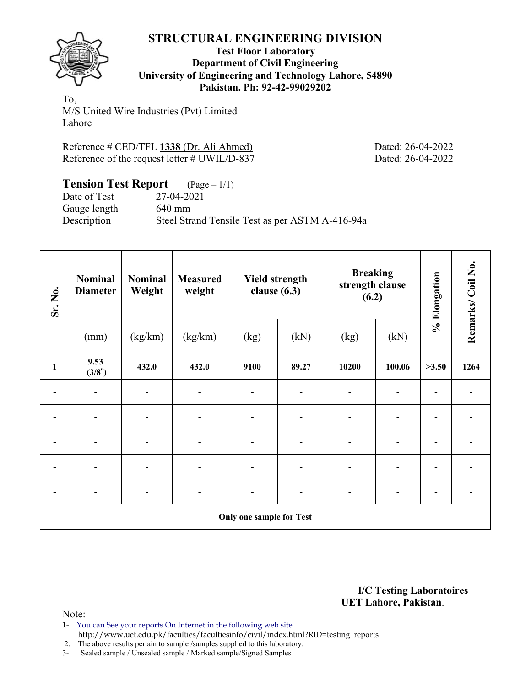

## **Test Floor Laboratory Department of Civil Engineering University of Engineering and Technology Lahore, 54890 Pakistan. Ph: 92-42-99029202**

To, M/S United Wire Industries (Pvt) Limited Lahore

Reference # CED/TFL **1338** (Dr. Ali Ahmed) Dated: 26-04-2022 Reference of the request letter # UWIL/D-837 Dated: 26-04-2022

| <b>Tension Test Report</b> $(\text{Page} - 1/1)$ |                                                 |
|--------------------------------------------------|-------------------------------------------------|
| Date of Test                                     | 27-04-2021                                      |
| Gauge length                                     | $640$ mm                                        |
| Description                                      | Steel Strand Tensile Test as per ASTM A-416-94a |

| Sr. No.                  | <b>Nominal</b><br><b>Diameter</b> | <b>Nominal</b><br>Weight | <b>Measured</b><br>weight | <b>Yield strength</b><br>clause $(6.3)$ |                              | <b>Breaking</b><br>strength clause<br>(6.2) |                          | % Elongation | Remarks/Coil No. |
|--------------------------|-----------------------------------|--------------------------|---------------------------|-----------------------------------------|------------------------------|---------------------------------------------|--------------------------|--------------|------------------|
|                          | (mm)                              | (kg/km)                  | (kg/km)                   | (kg)                                    | (kN)                         | (kg)                                        | (kN)                     |              |                  |
| $\mathbf{1}$             | 9.53<br>(3/8")                    | 432.0                    | 432.0                     | 9100                                    | 89.27                        | 10200                                       | 100.06                   | >3.50        | 1264             |
|                          |                                   |                          |                           |                                         | $\qquad \qquad \blacksquare$ | $\overline{a}$                              |                          |              |                  |
|                          |                                   |                          |                           |                                         |                              |                                             |                          |              |                  |
|                          |                                   |                          |                           |                                         | $\blacksquare$               | -                                           | -                        |              |                  |
|                          |                                   |                          |                           |                                         | $\blacksquare$               | ۰                                           |                          |              |                  |
| $\overline{\phantom{0}}$ | $\qquad \qquad \blacksquare$      |                          | -                         |                                         | $\overline{\phantom{a}}$     | $\overline{\phantom{a}}$                    | $\overline{\phantom{a}}$ | -            |                  |
|                          |                                   |                          |                           | <b>Only one sample for Test</b>         |                              |                                             |                          |              |                  |

**I/C Testing Laboratoires UET Lahore, Pakistan**.

Note:

1- You can See your reports On Internet in the following web site http://www.uet.edu.pk/faculties/facultiesinfo/civil/index.html?RID=testing\_reports

2. The above results pertain to sample /samples supplied to this laboratory.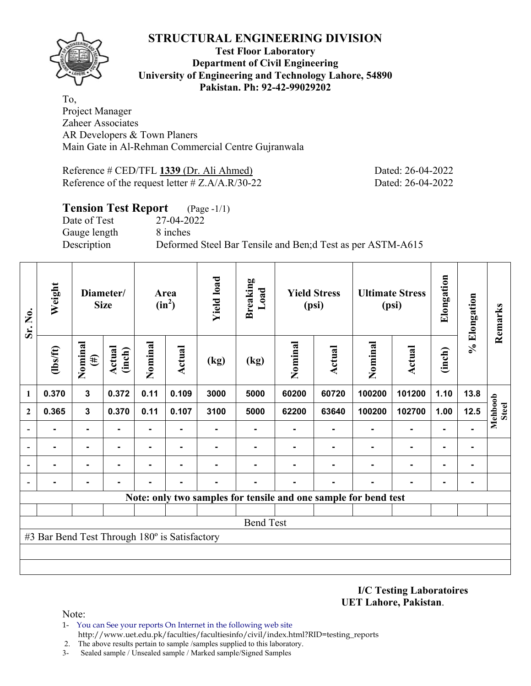

## **Test Floor Laboratory Department of Civil Engineering University of Engineering and Technology Lahore, 54890 Pakistan. Ph: 92-42-99029202**

To, Project Manager Zaheer Associates AR Developers & Town Planers Main Gate in Al-Rehman Commercial Centre Gujranwala

Reference # CED/TFL **1339** (Dr. Ali Ahmed) Dated: 26-04-2022 Reference of the request letter # Z.A/A.R/30-22 Dated: 26-04-2022

# **Tension Test Report** (Page -1/1) Date of Test 27-04-2022 Gauge length 8 inches Description Deformed Steel Bar Tensile and Ben;d Test as per ASTM-A615

| Sr. No.      | Weight                                        | Diameter/<br><b>Size</b> |                         |                | Area<br>$(in^2)$ | <b>Yield load</b> | <b>Breaking</b><br>Load                                         |         | <b>Yield Stress</b><br>(psi) |         | <b>Ultimate Stress</b><br>(psi) | Elongation     | % Elongation | Remarks                 |
|--------------|-----------------------------------------------|--------------------------|-------------------------|----------------|------------------|-------------------|-----------------------------------------------------------------|---------|------------------------------|---------|---------------------------------|----------------|--------------|-------------------------|
|              | $lbsft$                                       | Nominal<br>$(\#)$        | <b>Actual</b><br>(inch) | Nominal        | Actual           | (kg)              | (kg)                                                            | Nominal | <b>Actual</b>                | Nominal | <b>Actual</b>                   | (inch)         |              |                         |
| 1            | 0.370                                         | $\mathbf{3}$             | 0.372                   | 0.11           | 0.109            | 3000              | 5000                                                            | 60200   | 60720                        | 100200  | 101200                          | 1.10           | 13.8         |                         |
| $\mathbf{2}$ | 0.365                                         | $\overline{\mathbf{3}}$  | 0.370                   | 0.11           | 0.107            | 3100              | 5000                                                            | 62200   | 63640                        | 100200  | 102700                          | 1.00           | 12.5         | Mehboob<br><b>Steel</b> |
|              |                                               |                          |                         |                |                  |                   |                                                                 |         |                              |         | $\blacksquare$                  |                |              |                         |
|              |                                               |                          | $\blacksquare$          | $\blacksquare$ | ۰                |                   |                                                                 |         |                              |         | $\blacksquare$                  | $\blacksquare$ |              |                         |
|              |                                               |                          |                         |                | ۰                |                   |                                                                 |         |                              |         | $\blacksquare$                  | $\blacksquare$ |              |                         |
|              |                                               |                          |                         |                |                  |                   |                                                                 |         |                              |         |                                 | $\blacksquare$ |              |                         |
|              |                                               |                          |                         |                |                  |                   | Note: only two samples for tensile and one sample for bend test |         |                              |         |                                 |                |              |                         |
|              |                                               |                          |                         |                |                  |                   |                                                                 |         |                              |         |                                 |                |              |                         |
|              |                                               |                          |                         |                |                  |                   | <b>Bend Test</b>                                                |         |                              |         |                                 |                |              |                         |
|              | #3 Bar Bend Test Through 180° is Satisfactory |                          |                         |                |                  |                   |                                                                 |         |                              |         |                                 |                |              |                         |
|              |                                               |                          |                         |                |                  |                   |                                                                 |         |                              |         |                                 |                |              |                         |
|              |                                               |                          |                         |                |                  |                   |                                                                 |         |                              |         |                                 |                |              |                         |

**I/C Testing Laboratoires UET Lahore, Pakistan**.

- 1- You can See your reports On Internet in the following web site http://www.uet.edu.pk/faculties/facultiesinfo/civil/index.html?RID=testing\_reports
- 2. The above results pertain to sample /samples supplied to this laboratory.
- 3- Sealed sample / Unsealed sample / Marked sample/Signed Samples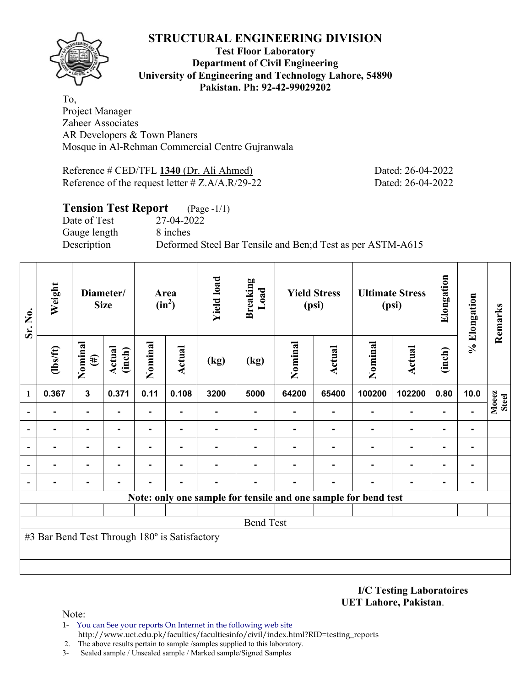

## **Test Floor Laboratory Department of Civil Engineering University of Engineering and Technology Lahore, 54890 Pakistan. Ph: 92-42-99029202**

To, Project Manager Zaheer Associates AR Developers & Town Planers Mosque in Al-Rehman Commercial Centre Gujranwala

Reference # CED/TFL **1340** (Dr. Ali Ahmed) Dated: 26-04-2022 Reference of the request letter # Z.A/A.R/29-22 Dated: 26-04-2022

# **Tension Test Report** (Page -1/1)

Date of Test 27-04-2022 Gauge length 8 inches

Description Deformed Steel Bar Tensile and Ben;d Test as per ASTM-A615

| Sr. No.                  | Weight                                        | Diameter/<br><b>Size</b> |                  | Area<br>$(in^2)$ |        | <b>Yield load</b> | <b>Breaking</b><br>Load | <b>Yield Stress</b><br>(psi) |               | <b>Ultimate Stress</b><br>(psi)                                |                | Elongation | % Elongation   | Remarks               |
|--------------------------|-----------------------------------------------|--------------------------|------------------|------------------|--------|-------------------|-------------------------|------------------------------|---------------|----------------------------------------------------------------|----------------|------------|----------------|-----------------------|
|                          | $\frac{2}{10}$                                | Nominal<br>$(\#)$        | Actual<br>(inch) | Nominal          | Actual | (kg)              | (kg)                    | Nominal                      | <b>Actual</b> | Nominal                                                        | <b>Actual</b>  | (inch)     |                |                       |
| 1                        | 0.367                                         | $\overline{\mathbf{3}}$  | 0.371            | 0.11             | 0.108  | 3200              | 5000                    | 64200                        | 65400         | 100200                                                         | 102200         | 0.80       | 10.0           | Moeez<br><b>Steel</b> |
| $\blacksquare$           |                                               | ٠                        |                  | $\blacksquare$   |        |                   | $\blacksquare$          | $\blacksquare$               |               |                                                                | ۰              |            |                |                       |
|                          |                                               | $\blacksquare$           |                  | ۰                | -      |                   |                         |                              |               |                                                                | $\blacksquare$ | ٠          | $\blacksquare$ |                       |
| $\overline{\phantom{a}}$ |                                               | -                        |                  |                  |        |                   |                         |                              |               |                                                                |                |            |                |                       |
| $\overline{\phantom{a}}$ |                                               | ۰                        |                  |                  |        |                   |                         |                              |               |                                                                |                |            | ۰              |                       |
| $\overline{\phantom{a}}$ |                                               | -                        |                  |                  |        |                   |                         |                              |               |                                                                |                |            |                |                       |
|                          |                                               |                          |                  |                  |        |                   |                         |                              |               | Note: only one sample for tensile and one sample for bend test |                |            |                |                       |
|                          |                                               |                          |                  |                  |        |                   |                         |                              |               |                                                                |                |            |                |                       |
|                          |                                               |                          |                  |                  |        |                   | <b>Bend Test</b>        |                              |               |                                                                |                |            |                |                       |
|                          | #3 Bar Bend Test Through 180° is Satisfactory |                          |                  |                  |        |                   |                         |                              |               |                                                                |                |            |                |                       |
|                          |                                               |                          |                  |                  |        |                   |                         |                              |               |                                                                |                |            |                |                       |
|                          |                                               |                          |                  |                  |        |                   |                         |                              |               |                                                                |                |            |                |                       |

**I/C Testing Laboratoires UET Lahore, Pakistan**.

Note:

1- You can See your reports On Internet in the following web site http://www.uet.edu.pk/faculties/facultiesinfo/civil/index.html?RID=testing\_reports

2. The above results pertain to sample /samples supplied to this laboratory.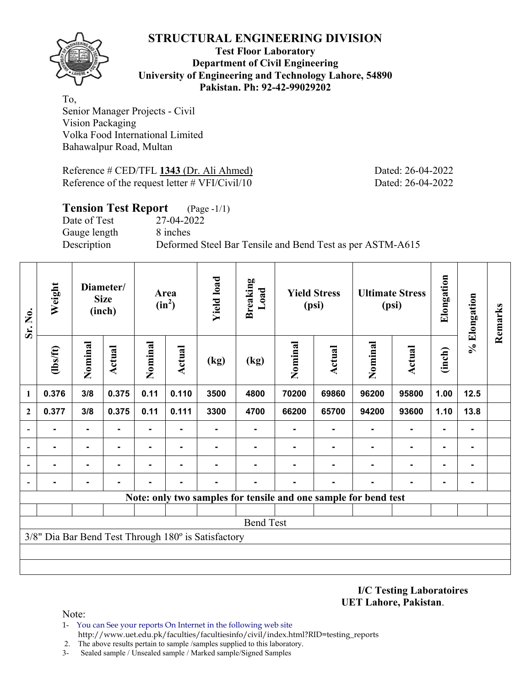**Test Floor Laboratory Department of Civil Engineering University of Engineering and Technology Lahore, 54890 Pakistan. Ph: 92-42-99029202** 

To, Senior Manager Projects - Civil Vision Packaging Volka Food International Limited Bahawalpur Road, Multan

Reference # CED/TFL **1343** (Dr. Ali Ahmed) Dated: 26-04-2022 Reference of the request letter # VFI/Civil/10 Dated: 26-04-2022

**Tension Test Report** (Page -1/1)

Date of Test 27-04-2022 Gauge length 8 inches

Description Deformed Steel Bar Tensile and Bend Test as per ASTM-A615

| Sr. No.                  | Weight         | Diameter/<br><b>Size</b><br>(inch) |                |         | Area<br>$(in^2)$ | <b>Yield load</b>                                   | <b>Breaking</b><br>Load                                         |         | <b>Yield Stress</b><br>(psi) |         | <b>Ultimate Stress</b><br>(psi) | Elongation | % Elongation | Remarks |
|--------------------------|----------------|------------------------------------|----------------|---------|------------------|-----------------------------------------------------|-----------------------------------------------------------------|---------|------------------------------|---------|---------------------------------|------------|--------------|---------|
|                          | $\frac{2}{10}$ | Nominal                            | <b>Actual</b>  | Nominal | <b>Actual</b>    | (kg)                                                | (kg)                                                            | Nominal | Actual                       | Nominal | <b>Actual</b>                   | (inch)     |              |         |
| 1                        | 0.376          | 3/8                                | 0.375          | 0.11    | 0.110            | 3500                                                | 4800                                                            | 70200   | 69860                        | 96200   | 95800                           | 1.00       | 12.5         |         |
| $\mathbf{2}$             | 0.377          | 3/8                                | 0.375          | 0.11    | 0.111            | 3300                                                | 4700                                                            | 66200   | 65700                        | 94200   | 93600                           | 1.10       | 13.8         |         |
| $\overline{\phantom{a}}$ |                |                                    |                |         |                  |                                                     |                                                                 |         |                              |         |                                 |            | -            |         |
| $\overline{\phantom{a}}$ | -              | $\blacksquare$                     |                |         |                  |                                                     |                                                                 |         |                              |         |                                 |            | ۰            |         |
| $\blacksquare$           |                | $\blacksquare$                     |                | ۰       | ۰                |                                                     |                                                                 |         |                              |         |                                 |            | -            |         |
| $\overline{\phantom{a}}$ |                | ۰                                  | $\blacksquare$ | ۰       | ۰                | -                                                   | ۰                                                               | Ξ.      | ۰.                           |         | $\blacksquare$                  | ۰          | ۰            |         |
|                          |                |                                    |                |         |                  |                                                     | Note: only two samples for tensile and one sample for bend test |         |                              |         |                                 |            |              |         |
|                          |                |                                    |                |         |                  |                                                     |                                                                 |         |                              |         |                                 |            |              |         |
|                          |                |                                    |                |         |                  |                                                     | <b>Bend Test</b>                                                |         |                              |         |                                 |            |              |         |
|                          |                |                                    |                |         |                  | 3/8" Dia Bar Bend Test Through 180° is Satisfactory |                                                                 |         |                              |         |                                 |            |              |         |
|                          |                |                                    |                |         |                  |                                                     |                                                                 |         |                              |         |                                 |            |              |         |
|                          |                |                                    |                |         |                  |                                                     |                                                                 |         |                              |         |                                 |            |              |         |

**I/C Testing Laboratoires UET Lahore, Pakistan**.

- 1- You can See your reports On Internet in the following web site http://www.uet.edu.pk/faculties/facultiesinfo/civil/index.html?RID=testing\_reports
- 2. The above results pertain to sample /samples supplied to this laboratory.
- 3- Sealed sample / Unsealed sample / Marked sample/Signed Samples